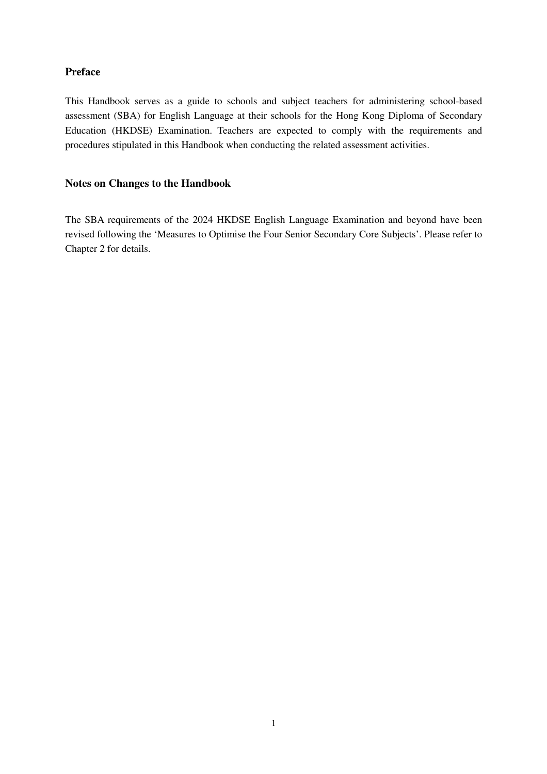# **Preface**

 This Handbook serves as a guide to schools and subject teachers for administering school-based assessment (SBA) for English Language at their schools for the Hong Kong Diploma of Secondary Education (HKDSE) Examination. Teachers are expected to comply with the requirements and procedures stipulated in this Handbook when conducting the related assessment activities.

## **Notes on Changes to the Handbook**

 The SBA requirements of the 2024 HKDSE English Language Examination and beyond have been revised following the 'Measures to Optimise the Four Senior Secondary Core Subjects'. Please refer to Chapter 2 for details.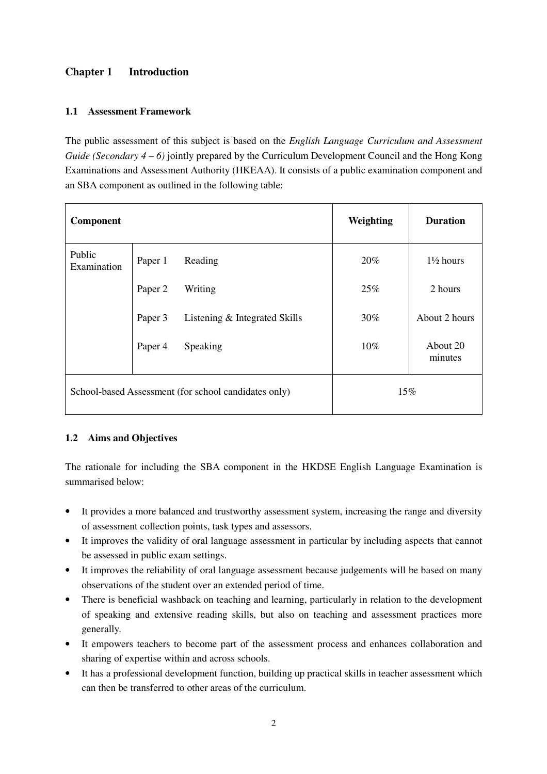# **Chapter 1 Introduction**

## **1.1 Assessment Framework**

 The public assessment of this subject is based on the *English Language Curriculum and Assessment*  Examinations and Assessment Authority (HKEAA). It consists of a public examination component and *Guide (Secondary 4 – 6)* jointly prepared by the Curriculum Development Council and the Hong Kong an SBA component as outlined in the following table:

| Component                                            |         |                               | <b>Weighting</b> | <b>Duration</b>      |
|------------------------------------------------------|---------|-------------------------------|------------------|----------------------|
| Public<br>Examination                                | Paper 1 | Reading                       | 20%              | $1\frac{1}{2}$ hours |
|                                                      | Paper 2 | Writing                       | 25%              | 2 hours              |
|                                                      | Paper 3 | Listening & Integrated Skills | 30%              | About 2 hours        |
|                                                      | Paper 4 | Speaking                      | $10\%$           | About 20<br>minutes  |
| School-based Assessment (for school candidates only) |         | 15%                           |                  |                      |

## **1.2 Aims and Objectives**

 The rationale for including the SBA component in the HKDSE English Language Examination is summarised below:

- • It provides a more balanced and trustworthy assessment system, increasing the range and diversity of assessment collection points, task types and assessors.
- • It improves the validity of oral language assessment in particular by including aspects that cannot be assessed in public exam settings.
- observations of the student over an extended period of time. • It improves the reliability of oral language assessment because judgements will be based on many
- There is beneficial washback on teaching and learning, particularly in relation to the development of speaking and extensive reading skills, but also on teaching and assessment practices more generally.
- • It empowers teachers to become part of the assessment process and enhances collaboration and sharing of expertise within and across schools.
- • It has a professional development function, building up practical skills in teacher assessment which can then be transferred to other areas of the curriculum.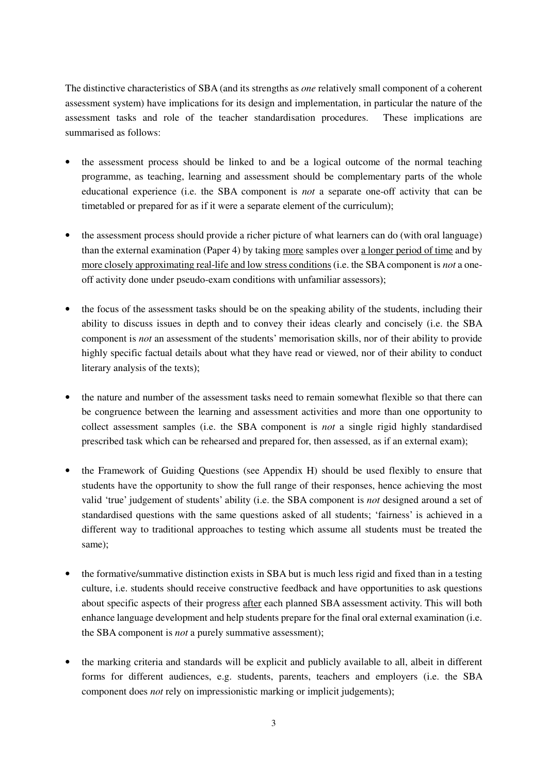The distinctive characteristics of SBA (and its strengths as *one* relatively small component of a coherent assessment system) have implications for its design and implementation, in particular the nature of the assessment tasks and role of the teacher standardisation procedures. These implications are summarised as follows:

- the assessment process should be linked to and be a logical outcome of the normal teaching programme, as teaching, learning and assessment should be complementary parts of the whole educational experience (i.e. the SBA component is *not* a separate one-off activity that can be timetabled or prepared for as if it were a separate element of the curriculum);
- than the external examination (Paper 4) by taking more samples over a longer period of time and by more closely approximating real-life and low stress conditions (i.e. the SBA component is *not* a one-• the assessment process should provide a richer picture of what learners can do (with oral language) off activity done under pseudo-exam conditions with unfamiliar assessors);
- the focus of the assessment tasks should be on the speaking ability of the students, including their ability to discuss issues in depth and to convey their ideas clearly and concisely (i.e. the SBA component is *not* an assessment of the students' memorisation skills, nor of their ability to provide highly specific factual details about what they have read or viewed, nor of their ability to conduct literary analysis of the texts);
- the nature and number of the assessment tasks need to remain somewhat flexible so that there can be congruence between the learning and assessment activities and more than one opportunity to collect assessment samples (i.e. the SBA component is *not* a single rigid highly standardised prescribed task which can be rehearsed and prepared for, then assessed, as if an external exam);
- the Framework of Guiding Questions (see Appendix H) should be used flexibly to ensure that students have the opportunity to show the full range of their responses, hence achieving the most valid 'true' judgement of students' ability (i.e. the SBA component is *not* designed around a set of standardised questions with the same questions asked of all students; 'fairness' is achieved in a different way to traditional approaches to testing which assume all students must be treated the same);
- culture, i.e. students should receive constructive feedback and have opportunities to ask questions about specific aspects of their progress after each planned SBA assessment activity. This will both enhance language development and help students prepare for the final oral external examination (i.e. the SBA component is *not* a purely summative assessment); • the formative/summative distinction exists in SBA but is much less rigid and fixed than in a testing
- the marking criteria and standards will be explicit and publicly available to all, albeit in different forms for different audiences, e.g. students, parents, teachers and employers (i.e. the SBA component does *not* rely on impressionistic marking or implicit judgements);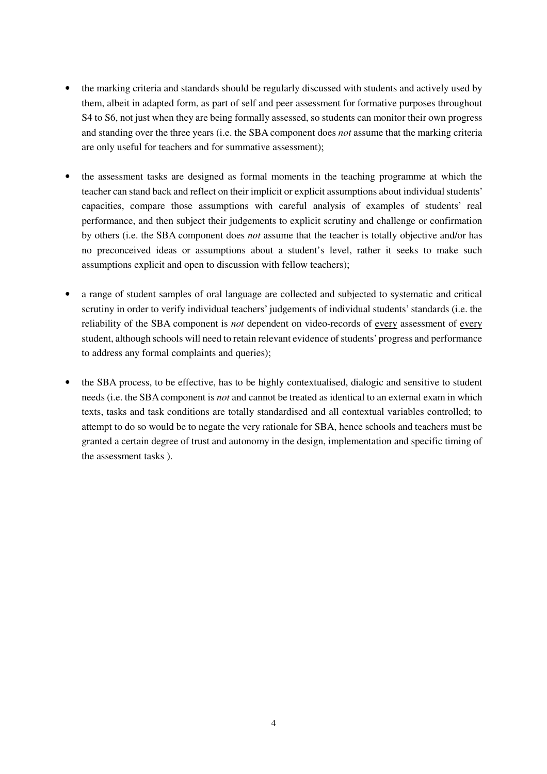- S4 to S6, not just when they are being formally assessed, so students can monitor their own progress and standing over the three years (i.e. the SBA component does *not* assume that the marking criteria are only useful for teachers and for summative assessment); the marking criteria and standards should be regularly discussed with students and actively used by them, albeit in adapted form, as part of self and peer assessment for formative purposes throughout
- • the assessment tasks are designed as formal moments in the teaching programme at which the teacher can stand back and reflect on their implicit or explicit assumptions about individual students' capacities, compare those assumptions with careful analysis of examples of students' real performance, and then subject their judgements to explicit scrutiny and challenge or confirmation by others (i.e. the SBA component does *not* assume that the teacher is totally objective and/or has no preconceived ideas or assumptions about a student's level, rather it seeks to make such assumptions explicit and open to discussion with fellow teachers);
- • a range of student samples of oral language are collected and subjected to systematic and critical scrutiny in order to verify individual teachers' judgements of individual students' standards (i.e. the reliability of the SBA component is *not* dependent on video-records of every assessment of every student, although schools will need to retain relevant evidence of students' progress and performance to address any formal complaints and queries);
- the SBA process, to be effective, has to be highly contextualised, dialogic and sensitive to student needs (i.e. the SBA component is *not* and cannot be treated as identical to an external exam in which texts, tasks and task conditions are totally standardised and all contextual variables controlled; to attempt to do so would be to negate the very rationale for SBA, hence schools and teachers must be granted a certain degree of trust and autonomy in the design, implementation and specific timing of the assessment tasks ).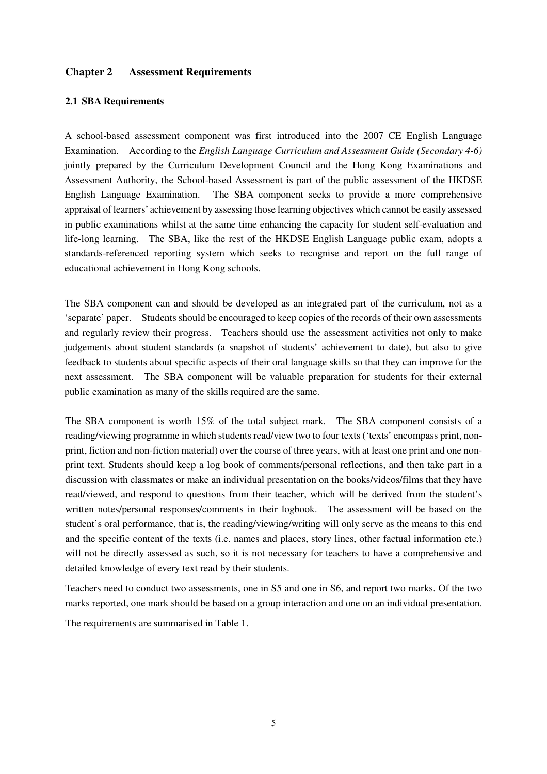## **Chapter 2 Assessment Requirements**

## **2.1 SBA Requirements**

 A school-based assessment component was first introduced into the 2007 CE English Language Examination. According to the *English Language Curriculum and Assessment Guide (Secondary 4-6)*  jointly prepared by the Curriculum Development Council and the Hong Kong Examinations and Assessment Authority, the School-based Assessment is part of the public assessment of the HKDSE appraisal of learners'achievement by assessing those learning objectives which cannot be easily assessed in public examinations whilst at the same time enhancing the capacity for student self-evaluation and life-long learning. The SBA, like the rest of the HKDSE English Language public exam, adopts a standards-referenced reporting system which seeks to recognise and report on the full range of English Language Examination. The SBA component seeks to provide a more comprehensive educational achievement in Hong Kong schools.

 The SBA component can and should be developed as an integrated part of the curriculum, not as a 'separate' paper. Students should be encouraged to keep copies of the records of their own assessments and regularly review their progress. Teachers should use the assessment activities not only to make judgements about student standards (a snapshot of students' achievement to date), but also to give feedback to students about specific aspects of their oral language skills so that they can improve for the next assessment. The SBA component will be valuable preparation for students for their external public examination as many of the skills required are the same.

 The SBA component is worth 15% of the total subject mark. The SBA component consists of a reading/viewing programme in which students read/view two to four texts ('texts' encompass print, non- print, fiction and non-fiction material) over the course of three years, with at least one print and one non- print text. Students should keep a log book of comments/personal reflections, and then take part in a read/viewed, and respond to questions from their teacher, which will be derived from the student's written notes/personal responses/comments in their logbook. The assessment will be based on the and the specific content of the texts (i.e. names and places, story lines, other factual information etc.) will not be directly assessed as such, so it is not necessary for teachers to have a comprehensive and discussion with classmates or make an individual presentation on the books/videos/films that they have student's oral performance, that is, the reading/viewing/writing will only serve as the means to this end detailed knowledge of every text read by their students.

 Teachers need to conduct two assessments, one in S5 and one in S6, and report two marks. Of the two marks reported, one mark should be based on a group interaction and one on an individual presentation.

The requirements are summarised in Table 1.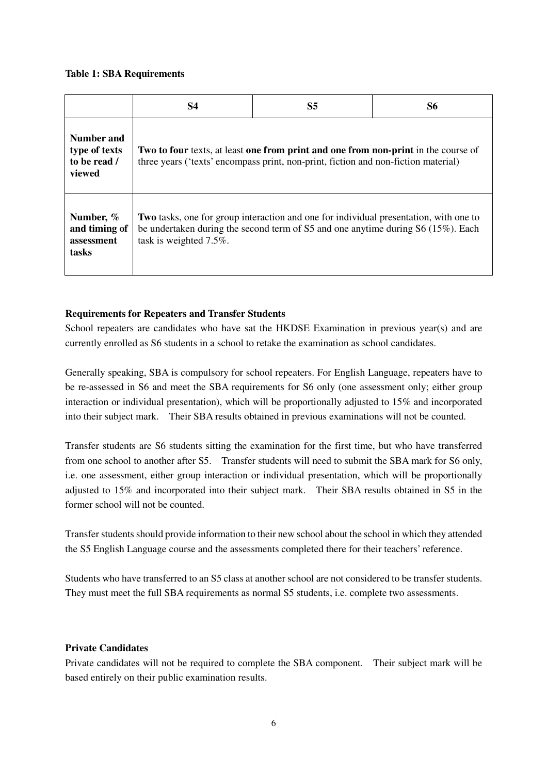### **Table 1: SBA Requirements**

|                                                       | S4                                                                                                                                                                       | S5                                                                                                                                                                                   | <b>S6</b> |  |  |
|-------------------------------------------------------|--------------------------------------------------------------------------------------------------------------------------------------------------------------------------|--------------------------------------------------------------------------------------------------------------------------------------------------------------------------------------|-----------|--|--|
| Number and<br>type of texts<br>to be read /<br>viewed | Two to four texts, at least one from print and one from non-print in the course of<br>three years ('texts' encompass print, non-print, fiction and non-fiction material) |                                                                                                                                                                                      |           |  |  |
| Number, %<br>and timing of<br>assessment<br>tasks     | task is weighted 7.5%.                                                                                                                                                   | <b>Two tasks, one for group interaction and one for individual presentation, with one to</b><br>be undertaken during the second term of S5 and one anytime during $S6 (15\%)$ . Each |           |  |  |

## **Requirements for Repeaters and Transfer Students**

School repeaters are candidates who have sat the HKDSE Examination in previous year(s) and are currently enrolled as S6 students in a school to retake the examination as school candidates.

 Generally speaking, SBA is compulsory for school repeaters. For English Language, repeaters have to be re-assessed in S6 and meet the SBA requirements for S6 only (one assessment only; either group interaction or individual presentation), which will be proportionally adjusted to 15% and incorporated into their subject mark. Their SBA results obtained in previous examinations will not be counted.

 Transfer students are S6 students sitting the examination for the first time, but who have transferred from one school to another after S5. Transfer students will need to submit the SBA mark for S6 only, i.e. one assessment, either group interaction or individual presentation, which will be proportionally adjusted to 15% and incorporated into their subject mark. Their SBA results obtained in S5 in the former school will not be counted.

 Transfer students should provide information to their new school about the school in which they attended the S5 English Language course and the assessments completed there for their teachers' reference.

 Students who have transferred to an S5 class at another school are not considered to be transfer students. They must meet the full SBA requirements as normal S5 students, i.e. complete two assessments.

### **Private Candidates**

 Private candidates will not be required to complete the SBA component. Their subject mark will be based entirely on their public examination results.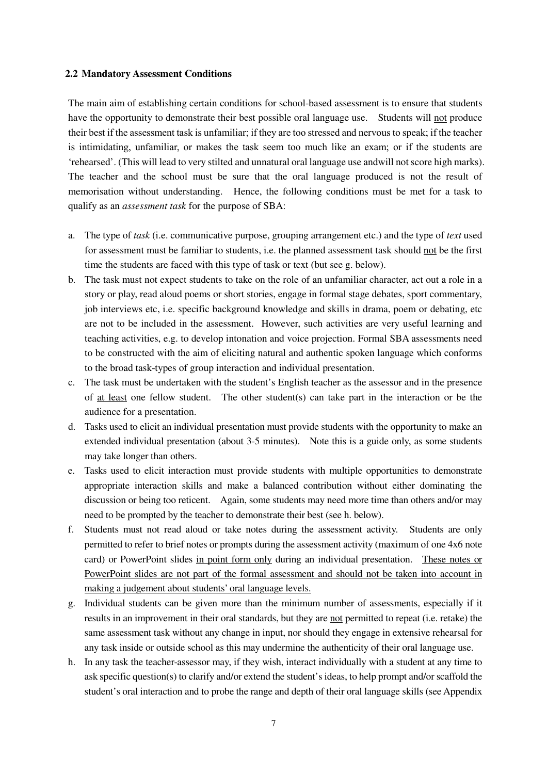### **2.2 Mandatory Assessment Conditions**

 The main aim of establishing certain conditions for school-based assessment is to ensure that students have the opportunity to demonstrate their best possible oral language use. Students will not produce their best if the assessment task is unfamiliar; if they are too stressed and nervous to speak; if the teacher is intimidating, unfamiliar, or makes the task seem too much like an exam; or if the students are 'rehearsed'. (This will lead to very stilted and unnatural oral language use andwill not score high marks). The teacher and the school must be sure that the oral language produced is not the result of memorisation without understanding. Hence, the following conditions must be met for a task to qualify as an *assessment task* for the purpose of SBA:

- a. The type of *task* (i.e. communicative purpose, grouping arrangement etc.) and the type of *text* used for assessment must be familiar to students, i.e. the planned assessment task should not be the first time the students are faced with this type of task or text (but see g. below).
- b. The task must not expect students to take on the role of an unfamiliar character, act out a role in a story or play, read aloud poems or short stories, engage in formal stage debates, sport commentary, job interviews etc, i.e. specific background knowledge and skills in drama, poem or debating, etc are not to be included in the assessment. However, such activities are very useful learning and teaching activities, e.g. to develop intonation and voice projection. Formal SBA assessments need to be constructed with the aim of eliciting natural and authentic spoken language which conforms to the broad task-types of group interaction and individual presentation.
- of at least one fellow student. The other student(s) can take part in the interaction or be the c. The task must be undertaken with the student's English teacher as the assessor and in the presence audience for a presentation.
- d. Tasks used to elicit an individual presentation must provide students with the opportunity to make an extended individual presentation (about 3-5 minutes). Note this is a guide only, as some students may take longer than others.
- e. Tasks used to elicit interaction must provide students with multiple opportunities to demonstrate appropriate interaction skills and make a balanced contribution without either dominating the discussion or being too reticent. Again, some students may need more time than others and/or may need to be prompted by the teacher to demonstrate their best (see h. below).
- f. Students must not read aloud or take notes during the assessment activity. Students are only permitted to refer to brief notes or prompts during the assessment activity (maximum of one 4x6 note card) or PowerPoint slides in point form only during an individual presentation. These notes or PowerPoint slides are not part of the formal assessment and should not be taken into account in making a judgement about students' oral language levels.
- g. Individual students can be given more than the minimum number of assessments, especially if it results in an improvement in their oral standards, but they are not permitted to repeat (i.e. retake) the same assessment task without any change in input, nor should they engage in extensive rehearsal for any task inside or outside school as this may undermine the authenticity of their oral language use.
- h. In any task the teacher-assessor may, if they wish, interact individually with a student at any time to ask specific question(s) to clarify and/or extend the student's ideas, to help prompt and/or scaffold the student's oral interaction and to probe the range and depth of their oral language skills (see Appendix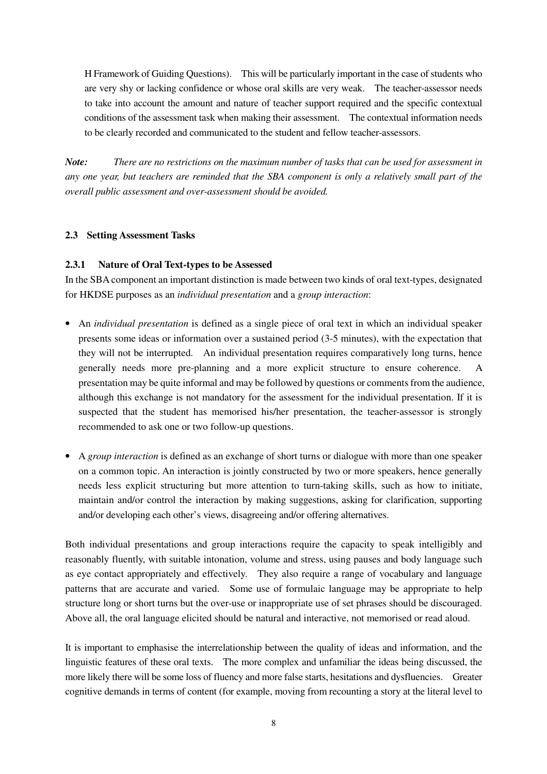H Framework of Guiding Questions). This will be particularly important in the case of students who are very shy or lacking confidence or whose oral skills are very weak. The teacher-assessor needs to take into account the amount and nature of teacher support required and the specific contextual conditions of the assessment task when making their assessment. The contextual information needs to be clearly recorded and communicated to the student and fellow teacher-assessors.

Note:  *any one year, but teachers are reminded that the SBA component is only a relatively small part of the overall public assessment and over-assessment should be avoided. Note: There are no restrictions on the maximum number of tasks that can be used for assessment in* 

## **2.3 Setting Assessment Tasks**

## **2.3.1 Nature of Oral Text-types to be Assessed**

 In the SBA component an important distinction is made between two kinds of oral text-types, designated for HKDSE purposes as an *individual presentation* and a *group interaction*:

- • An *individual presentation* is defined as a single piece of oral text in which an individual speaker presents some ideas or information over a sustained period (3-5 minutes), with the expectation that they will not be interrupted. An individual presentation requires comparatively long turns, hence generally needs more pre-planning and a more explicit structure to ensure coherence. A presentation may be quite informal and may be followed by questions or comments from the audience, although this exchange is not mandatory for the assessment for the individual presentation. If it is suspected that the student has memorised his/her presentation, the teacher-assessor is strongly recommended to ask one or two follow-up questions.
- • A *group interaction* is defined as an exchange of short turns or dialogue with more than one speaker on a common topic. An interaction is jointly constructed by two or more speakers, hence generally needs less explicit structuring but more attention to turn-taking skills, such as how to initiate, maintain and/or control the interaction by making suggestions, asking for clarification, supporting and/or developing each other's views, disagreeing and/or offering alternatives.

 Both individual presentations and group interactions require the capacity to speak intelligibly and reasonably fluently, with suitable intonation, volume and stress, using pauses and body language such as eye contact appropriately and effectively. They also require a range of vocabulary and language patterns that are accurate and varied. Some use of formulaic language may be appropriate to help Above all, the oral language elicited should be natural and interactive, not memorised or read aloud. structure long or short turns but the over-use or inappropriate use of set phrases should be discouraged.

Above all, the oral language elicited should be natural and interactive, not memorised or read aloud.<br>It is important to emphasise the interrelationship between the quality of ideas and information, and the linguistic features of these oral texts. The more complex and unfamiliar the ideas being discussed, the more likely there will be some loss of fluency and more false starts, hesitations and dysfluencies. Greater cognitive demands in terms of content (for example, moving from recounting a story at the literal level to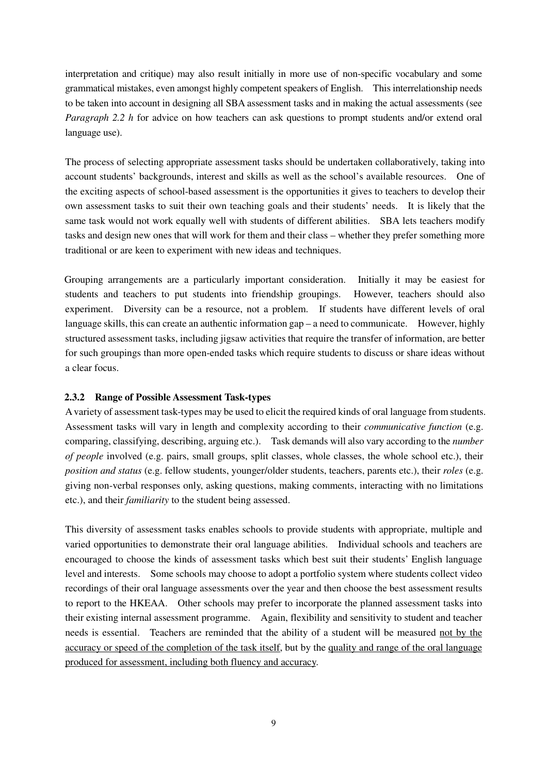interpretation and critique) may also result initially in more use of non-specific vocabulary and some grammatical mistakes, even amongst highly competent speakers of English. This interrelationship needs Paragraph 2.2 h for advice on how teachers can ask questions to prompt students and/or extend oral language use). to be taken into account in designing all SBA assessment tasks and in making the actual assessments (see

 The process of selecting appropriate assessment tasks should be undertaken collaboratively, taking into account students' backgrounds, interest and skills as well as the school's available resources. One of the exciting aspects of school-based assessment is the opportunities it gives to teachers to develop their own assessment tasks to suit their own teaching goals and their students' needs. It is likely that the same task would not work equally well with students of different abilities. SBA lets teachers modify tasks and design new ones that will work for them and their class – whether they prefer something more traditional or are keen to experiment with new ideas and techniques.

 Grouping arrangements are a particularly important consideration. Initially it may be easiest for students and teachers to put students into friendship groupings. However, teachers should also experiment. Diversity can be a resource, not a problem. If students have different levels of oral language skills, this can create an authentic information gap – a need to communicate. However, highly structured assessment tasks, including jigsaw activities that require the transfer of information, are better a clear focus. for such groupings than more open-ended tasks which require students to discuss or share ideas without

## **2.3.2 Range of Possible Assessment Task-types**

 A variety of assessment task-types may be used to elicit the required kinds of oral language from students. Assessment tasks will vary in length and complexity according to their *communicative function* (e.g. comparing, classifying, describing, arguing etc.). Task demands will also vary according to the *number of people* involved (e.g. pairs, small groups, split classes, whole classes, the whole school etc.), their *position and status* (e.g. fellow students, younger/older students, teachers, parents etc.), their *roles* (e.g. giving non-verbal responses only, asking questions, making comments, interacting with no limitations etc.), and their *familiarity* to the student being assessed.

 This diversity of assessment tasks enables schools to provide students with appropriate, multiple and varied opportunities to demonstrate their oral language abilities. Individual schools and teachers are encouraged to choose the kinds of assessment tasks which best suit their students' English language level and interests. Some schools may choose to adopt a portfolio system where students collect video to report to the HKEAA. Other schools may prefer to incorporate the planned assessment tasks into their existing internal assessment programme. Again, flexibility and sensitivity to student and teacher needs is essential. Teachers are reminded that the ability of a student will be measured not by the accuracy or speed of the completion of the task itself, but by the quality and range of the oral language recordings of their oral language assessments over the year and then choose the best assessment results produced for assessment, including both fluency and accuracy.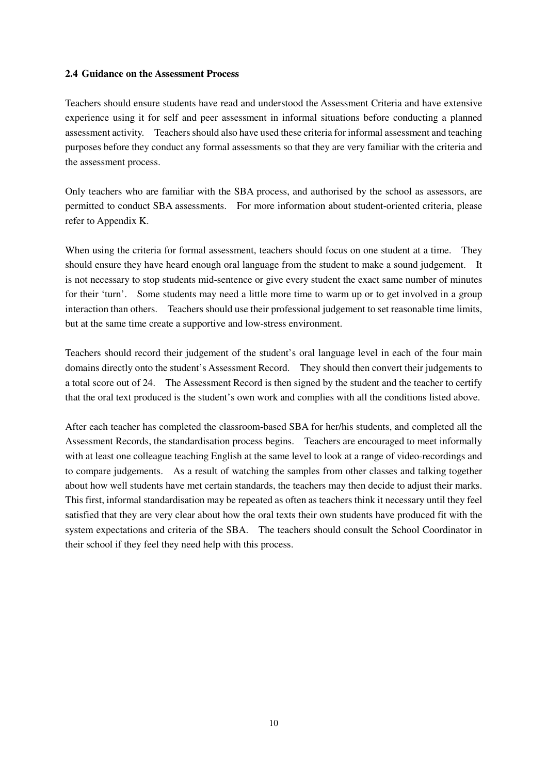### **2.4 Guidance on the Assessment Process**

 Teachers should ensure students have read and understood the Assessment Criteria and have extensive experience using it for self and peer assessment in informal situations before conducting a planned assessment activity. Teachers should also have used these criteria for informal assessment and teaching purposes before they conduct any formal assessments so that they are very familiar with the criteria and the assessment process.

 Only teachers who are familiar with the SBA process, and authorised by the school as assessors, are permitted to conduct SBA assessments. For more information about student-oriented criteria, please refer to Appendix K.

 When using the criteria for formal assessment, teachers should focus on one student at a time. They should ensure they have heard enough oral language from the student to make a sound judgement. It is not necessary to stop students mid-sentence or give every student the exact same number of minutes for their 'turn'. Some students may need a little more time to warm up or to get involved in a group interaction than others. Teachers should use their professional judgement to set reasonable time limits, but at the same time create a supportive and low-stress environment.

 Teachers should record their judgement of the student's oral language level in each of the four main domains directly onto the student's Assessment Record. They should then convert their judgements to a total score out of 24. The Assessment Record is then signed by the student and the teacher to certify that the oral text produced is the student's own work and complies with all the conditions listed above.

 After each teacher has completed the classroom-based SBA for her/his students, and completed all the Assessment Records, the standardisation process begins. Teachers are encouraged to meet informally with at least one colleague teaching English at the same level to look at a range of video-recordings and to compare judgements. As a result of watching the samples from other classes and talking together This first, informal standardisation may be repeated as often as teachers think it necessary until they feel satisfied that they are very clear about how the oral texts their own students have produced fit with the system expectations and criteria of the SBA. The teachers should consult the School Coordinator in about how well students have met certain standards, the teachers may then decide to adjust their marks. their school if they feel they need help with this process.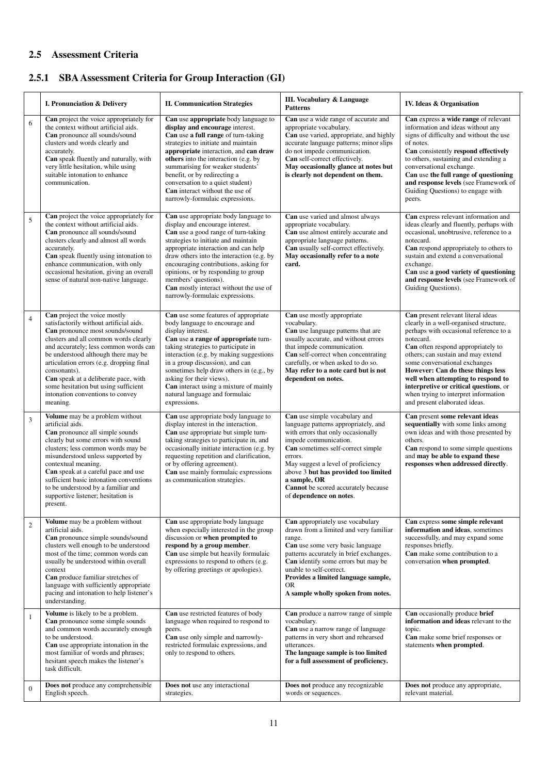# **2.5 Assessment Criteria**

# **2.5.1 SBA Assessment Criteria for Group Interaction (GI)**

|                  | I. Pronunciation & Delivery                                                                                                                                                                                                                                                                                                                                                                                                     | <b>II. Communication Strategies</b>                                                                                                                                                                                                                                                                                                                                                                                             | III. Vocabulary & Language<br><b>Patterns</b>                                                                                                                                                                                                                                                                                                        | IV. Ideas & Organisation                                                                                                                                                                                                                                                                                                                                                                                                                       |
|------------------|---------------------------------------------------------------------------------------------------------------------------------------------------------------------------------------------------------------------------------------------------------------------------------------------------------------------------------------------------------------------------------------------------------------------------------|---------------------------------------------------------------------------------------------------------------------------------------------------------------------------------------------------------------------------------------------------------------------------------------------------------------------------------------------------------------------------------------------------------------------------------|------------------------------------------------------------------------------------------------------------------------------------------------------------------------------------------------------------------------------------------------------------------------------------------------------------------------------------------------------|------------------------------------------------------------------------------------------------------------------------------------------------------------------------------------------------------------------------------------------------------------------------------------------------------------------------------------------------------------------------------------------------------------------------------------------------|
| 6                | Can project the voice appropriately for<br>the context without artificial aids.<br>Can pronounce all sounds/sound<br>clusters and words clearly and<br>accurately.<br>Can speak fluently and naturally, with<br>very little hesitation, while using<br>suitable intonation to enhance<br>communication.                                                                                                                         | Can use appropriate body language to<br>display and encourage interest.<br>Can use a full range of turn-taking<br>strategies to initiate and maintain<br>appropriate interaction, and can draw<br>others into the interaction (e.g. by<br>summarising for weaker students'<br>benefit, or by redirecting a<br>conversation to a quiet student)<br><b>Can</b> interact without the use of<br>narrowly-formulaic expressions.     | Can use a wide range of accurate and<br>appropriate vocabulary.<br>Can use varied, appropriate, and highly<br>accurate language patterns; minor slips<br>do not impede communication.<br>Can self-correct effectively.<br>May occasionally glance at notes but<br>is clearly not dependent on them.                                                  | Can express a wide range of relevant<br>information and ideas without any<br>signs of difficulty and without the use<br>of notes.<br>Can consistently respond effectively<br>to others, sustaining and extending a<br>conversational exchange.<br>Can use the full range of questioning<br>and response levels (see Framework of<br>Guiding Questions) to engage with<br>peers.                                                                |
| 5                | Can project the voice appropriately for<br>the context without artificial aids.<br>Can pronounce all sounds/sound<br>clusters clearly and almost all words<br>accurately.<br>Can speak fluently using intonation to<br>enhance communication, with only<br>occasional hesitation, giving an overall<br>sense of natural non-native language.                                                                                    | Can use appropriate body language to<br>display and encourage interest.<br>Can use a good range of turn-taking<br>strategies to initiate and maintain<br>appropriate interaction and can help<br>draw others into the interaction (e.g. by<br>encouraging contributions, asking for<br>opinions, or by responding to group<br>members' questions).<br>Can mostly interact without the use of<br>narrowly-formulaic expressions. | Can use varied and almost always<br>appropriate vocabulary.<br>Can use almost entirely accurate and<br>appropriate language patterns.<br>Can usually self-correct effectively.<br>May occasionally refer to a note<br>card.                                                                                                                          | Can express relevant information and<br>ideas clearly and fluently, perhaps with<br>occasional, unobtrusive, reference to a<br>notecard.<br>Can respond appropriately to others to<br>sustain and extend a conversational<br>exchange.<br>Can use a good variety of questioning<br>and response levels (see Framework of<br>Guiding Questions).                                                                                                |
| $\overline{4}$   | Can project the voice mostly<br>satisfactorily without artificial aids.<br>Can pronounce most sounds/sound<br>clusters and all common words clearly<br>and accurately; less common words can<br>be understood although there may be<br>articulation errors (e.g. dropping final<br>consonants).<br>Can speak at a deliberate pace, with<br>some hesitation but using sufficient<br>intonation conventions to convey<br>meaning. | Can use some features of appropriate<br>body language to encourage and<br>display interest.<br>Can use a range of appropriate turn-<br>taking strategies to participate in<br>interaction (e.g. by making suggestions<br>in a group discussion), and can<br>sometimes help draw others in (e.g., by<br>asking for their views).<br>Can interact using a mixture of mainly<br>natural language and formulaic<br>expressions.     | Can use mostly appropriate<br>vocabulary.<br>Can use language patterns that are<br>usually accurate, and without errors<br>that impede communication.<br>Can self-correct when concentrating<br>carefully, or when asked to do so.<br>May refer to a note card but is not<br>dependent on notes.                                                     | Can present relevant literal ideas<br>clearly in a well-organised structure,<br>perhaps with occasional reference to a<br>notecard.<br>Can often respond appropriately to<br>others; can sustain and may extend<br>some conversational exchanges<br>However: Can do these things less<br>well when attempting to respond to<br>interpretive or critical questions, or<br>when trying to interpret information<br>and present elaborated ideas. |
| $\mathfrak{Z}$   | Volume may be a problem without<br>artificial aids.<br>Can pronounce all simple sounds<br>clearly but some errors with sound<br>clusters; less common words may be<br>misunderstood unless supported by<br>contextual meaning.<br>Can speak at a careful pace and use<br>sufficient basic intonation conventions<br>to be understood by a familiar and<br>supportive listener; hesitation is<br>present.                        | Can use appropriate body language to<br>display interest in the interaction.<br>Can use appropriate but simple turn-<br>taking strategies to participate in, and<br>occasionally initiate interaction (e.g. by<br>requesting repetition and clarification,<br>or by offering agreement).<br>Can use mainly formulaic expressions<br>as communication strategies.                                                                | Can use simple vocabulary and<br>language patterns appropriately, and<br>with errors that only occasionally<br>impede communication.<br>Can sometimes self-correct simple<br>errors.<br>May suggest a level of proficiency<br>above 3 but has provided too limited<br>a sample, OR<br>Cannot be scored accurately because<br>of dependence on notes. | Can present some relevant ideas<br>sequentially with some links among<br>own ideas and with those presented by<br>others.<br>Can respond to some simple questions<br>and may be able to expand these<br>responses when addressed directly.                                                                                                                                                                                                     |
| $\overline{c}$   | Volume may be a problem without<br>artificial aids.<br>Can pronounce simple sounds/sound<br>clusters well enough to be understood<br>most of the time; common words can<br>usually be understood within overall<br>context<br>Can produce familiar stretches of<br>language with sufficiently appropriate<br>pacing and intonation to help listener's<br>understanding.                                                         | Can use appropriate body language<br>when especially interested in the group<br>discussion or when prompted to<br>respond by a group member.<br>Can use simple but heavily formulaic<br>expressions to respond to others (e.g.<br>by offering greetings or apologies).                                                                                                                                                          | Can appropriately use vocabulary<br>drawn from a limited and very familiar<br>range.<br>Can use some very basic language<br>patterns accurately in brief exchanges.<br>Can identify some errors but may be<br>unable to self-correct.<br>Provides a limited language sample,<br><b>OR</b><br>A sample wholly spoken from notes.                      | Can express some simple relevant<br>information and ideas, sometimes<br>successfully, and may expand some<br>responses briefly.<br>Can make some contribution to a<br>conversation when prompted.                                                                                                                                                                                                                                              |
| $\mathbf{1}$     | Volume is likely to be a problem.<br>Can pronounce some simple sounds<br>and common words accurately enough<br>to be understood.<br>Can use appropriate intonation in the<br>most familiar of words and phrases;<br>hesitant speech makes the listener's<br>task difficult.                                                                                                                                                     | Can use restricted features of body<br>language when required to respond to<br>peers.<br>Can use only simple and narrowly-<br>restricted formulaic expressions, and<br>only to respond to others.                                                                                                                                                                                                                               | Can produce a narrow range of simple<br>vocabulary.<br>Can use a narrow range of language<br>patterns in very short and rehearsed<br>utterances.<br>The language sample is too limited<br>for a full assessment of proficiency.                                                                                                                      | Can occasionally produce brief<br>information and ideas relevant to the<br>topic.<br>Can make some brief responses or<br>statements when prompted.                                                                                                                                                                                                                                                                                             |
| $\boldsymbol{0}$ | Does not produce any comprehensible<br>English speech.                                                                                                                                                                                                                                                                                                                                                                          | Does not use any interactional<br>strategies.                                                                                                                                                                                                                                                                                                                                                                                   | Does not produce any recognizable<br>words or sequences.                                                                                                                                                                                                                                                                                             | Does not produce any appropriate,<br>relevant material.                                                                                                                                                                                                                                                                                                                                                                                        |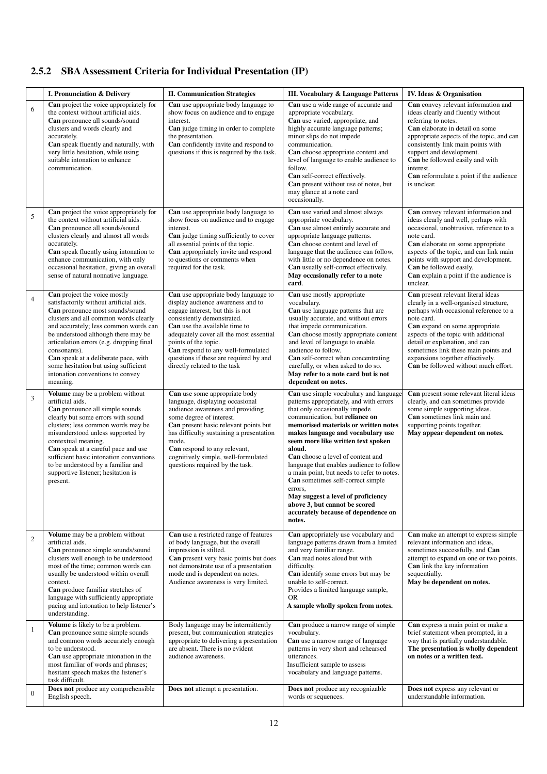## **2.5.2 SBA Assessment Criteria for Individual Presentation (IP)**

|                  | I. Pronunciation & Delivery                                                                                                                                                                                                                                                                                                                                                                                                     | <b>II. Communication Strategies</b>                                                                                                                                                                                                                                                                                                                                    | III. Vocabulary & Language Patterns                                                                                                                                                                                                                                                                                                                                                                                                                                                                                                                                                      | IV. Ideas & Organisation                                                                                                                                                                                                                                                                                                                                             |
|------------------|---------------------------------------------------------------------------------------------------------------------------------------------------------------------------------------------------------------------------------------------------------------------------------------------------------------------------------------------------------------------------------------------------------------------------------|------------------------------------------------------------------------------------------------------------------------------------------------------------------------------------------------------------------------------------------------------------------------------------------------------------------------------------------------------------------------|------------------------------------------------------------------------------------------------------------------------------------------------------------------------------------------------------------------------------------------------------------------------------------------------------------------------------------------------------------------------------------------------------------------------------------------------------------------------------------------------------------------------------------------------------------------------------------------|----------------------------------------------------------------------------------------------------------------------------------------------------------------------------------------------------------------------------------------------------------------------------------------------------------------------------------------------------------------------|
| 6                | Can project the voice appropriately for<br>the context without artificial aids.<br>Can pronounce all sounds/sound<br>clusters and words clearly and<br>accurately.<br>Can speak fluently and naturally, with<br>very little hesitation, while using<br>suitable intonation to enhance<br>communication.                                                                                                                         | <b>Can</b> use appropriate body language to<br>show focus on audience and to engage<br>interest.<br>Can judge timing in order to complete<br>the presentation.<br>Can confidently invite and respond to<br>questions if this is required by the task.                                                                                                                  | Can use a wide range of accurate and<br>appropriate vocabulary.<br>Can use varied, appropriate, and<br>highly accurate language patterns;<br>minor slips do not impede<br>communication.<br>Can choose appropriate content and<br>level of language to enable audience to<br>follow.<br>Can self-correct effectively.<br>Can present without use of notes, but<br>may glance at a note card<br>occasionally.                                                                                                                                                                             | Can convey relevant information and<br>ideas clearly and fluently without<br>referring to notes.<br>Can elaborate in detail on some<br>appropriate aspects of the topic, and can<br>consistently link main points with<br>support and development.<br>Can be followed easily and with<br>interest.<br><b>Can</b> reformulate a point if the audience<br>is unclear.  |
| $\sqrt{5}$       | <b>Can</b> project the voice appropriately for<br>the context without artificial aids.<br>Can pronounce all sounds/sound<br>clusters clearly and almost all words<br>accurately.<br>Can speak fluently using intonation to<br>enhance communication, with only<br>occasional hesitation, giving an overall<br>sense of natural nonnative language.                                                                              | Can use appropriate body language to<br>show focus on audience and to engage<br>interest.<br>Can judge timing sufficiently to cover<br>all essential points of the topic.<br><b>Can</b> appropriately invite and respond<br>to questions or comments when<br>required for the task.                                                                                    | Can use varied and almost always<br>appropriate vocabulary.<br>Can use almost entirely accurate and<br>appropriate language patterns.<br>Can choose content and level of<br>language that the audience can follow,<br>with little or no dependence on notes.<br>Can usually self-correct effectively.<br>May occasionally refer to a note<br>card.                                                                                                                                                                                                                                       | Can convey relevant information and<br>ideas clearly and well, perhaps with<br>occasional, unobtrusive, reference to a<br>note card.<br>Can elaborate on some appropriate<br>aspects of the topic, and can link main<br>points with support and development.<br>Can be followed easily.<br><b>Can</b> explain a point if the audience is<br>unclear.                 |
| $\overline{4}$   | Can project the voice mostly<br>satisfactorily without artificial aids.<br>Can pronounce most sounds/sound<br>clusters and all common words clearly<br>and accurately; less common words can<br>be understood although there may be<br>articulation errors (e.g. dropping final<br>consonants).<br>Can speak at a deliberate pace, with<br>some hesitation but using sufficient<br>intonation conventions to convey<br>meaning. | Can use appropriate body language to<br>display audience awareness and to<br>engage interest, but this is not<br>consistently demonstrated.<br><b>Can</b> use the available time to<br>adequately cover all the most essential<br>points of the topic.<br>Can respond to any well-formulated<br>questions if these are required by and<br>directly related to the task | Can use mostly appropriate<br>vocabulary.<br>Can use language patterns that are<br>usually accurate, and without errors<br>that impede communication.<br>Can choose mostly appropriate content<br>and level of language to enable<br>audience to follow.<br>Can self-correct when concentrating<br>carefully, or when asked to do so.<br>May refer to a note card but is not<br>dependent on notes.                                                                                                                                                                                      | Can present relevant literal ideas<br>clearly in a well-organised structure,<br>perhaps with occasional reference to a<br>note card.<br>Can expand on some appropriate<br>aspects of the topic with additional<br>detail or explanation, and can<br>sometimes link these main points and<br>expansions together effectively.<br>Can be followed without much effort. |
| $\mathfrak{Z}$   | Volume may be a problem without<br>artificial aids.<br>Can pronounce all simple sounds<br>clearly but some errors with sound<br>clusters; less common words may be<br>misunderstood unless supported by<br>contextual meaning.<br>Can speak at a careful pace and use<br>sufficient basic intonation conventions<br>to be understood by a familiar and<br>supportive listener; hesitation is<br>present.                        | Can use some appropriate body<br>language, displaying occasional<br>audience awareness and providing<br>some degree of interest.<br>Can present basic relevant points but<br>has difficulty sustaining a presentation<br>mode.<br>Can respond to any relevant,<br>cognitively simple, well-formulated<br>questions required by the task.                               | Can use simple vocabulary and language<br>patterns appropriately, and with errors<br>that only occasionally impede<br>communication, but reliance on<br>memorised materials or written notes<br>makes language and vocabulary use<br>seem more like written text spoken<br>aloud.<br>Can choose a level of content and<br>language that enables audience to follow<br>a main point, but needs to refer to notes.<br>Can sometimes self-correct simple<br>errors,<br>May suggest a level of proficiency<br>above 3, but cannot be scored<br>accurately because of dependence on<br>notes. | Can present some relevant literal ideas<br>clearly, and can sometimes provide<br>some simple supporting ideas.<br>Can sometimes link main and<br>supporting points together.<br>May appear dependent on notes.                                                                                                                                                       |
| $\sqrt{2}$       | Volume may be a problem without<br>artificial aids.<br>Can pronounce simple sounds/sound<br>clusters well enough to be understood<br>most of the time; common words can<br>usually be understood within overall<br>context.<br>Can produce familiar stretches of<br>language with sufficiently appropriate<br>pacing and intonation to help listener's<br>understanding.                                                        | Can use a restricted range of features<br>of body language, but the overall<br>impression is stilted.<br>Can present very basic points but does<br>not demonstrate use of a presentation<br>mode and is dependent on notes.<br>Audience awareness is very limited.                                                                                                     | Can appropriately use vocabulary and<br>language patterns drawn from a limited<br>and very familiar range.<br>Can read notes aloud but with<br>difficulty.<br>Can identify some errors but may be<br>unable to self-correct.<br>Provides a limited language sample,<br><b>OR</b><br>A sample wholly spoken from notes.                                                                                                                                                                                                                                                                   | Can make an attempt to express simple<br>relevant information and ideas,<br>sometimes successfully, and Can<br>attempt to expand on one or two points.<br>Can link the key information<br>sequentially.<br>May be dependent on notes.                                                                                                                                |
| $\mathbf{1}$     | Volume is likely to be a problem.<br>Can pronounce some simple sounds<br>and common words accurately enough<br>to be understood.<br>Can use appropriate intonation in the<br>most familiar of words and phrases;<br>hesitant speech makes the listener's<br>task difficult.                                                                                                                                                     | Body language may be intermittently<br>present, but communication strategies<br>appropriate to delivering a presentation<br>are absent. There is no evident<br>audience awareness.                                                                                                                                                                                     | <b>Can</b> produce a narrow range of simple<br>vocabulary.<br>Can use a narrow range of language<br>patterns in very short and rehearsed<br>utterances.<br>Insufficient sample to assess<br>vocabulary and language patterns.                                                                                                                                                                                                                                                                                                                                                            | Can express a main point or make a<br>brief statement when prompted, in a<br>way that is partially understandable.<br>The presentation is wholly dependent<br>on notes or a written text.                                                                                                                                                                            |
| $\boldsymbol{0}$ | Does not produce any comprehensible<br>English speech.                                                                                                                                                                                                                                                                                                                                                                          | <b>Does not</b> attempt a presentation.                                                                                                                                                                                                                                                                                                                                | Does not produce any recognizable<br>words or sequences.                                                                                                                                                                                                                                                                                                                                                                                                                                                                                                                                 | Does not express any relevant or<br>understandable information.                                                                                                                                                                                                                                                                                                      |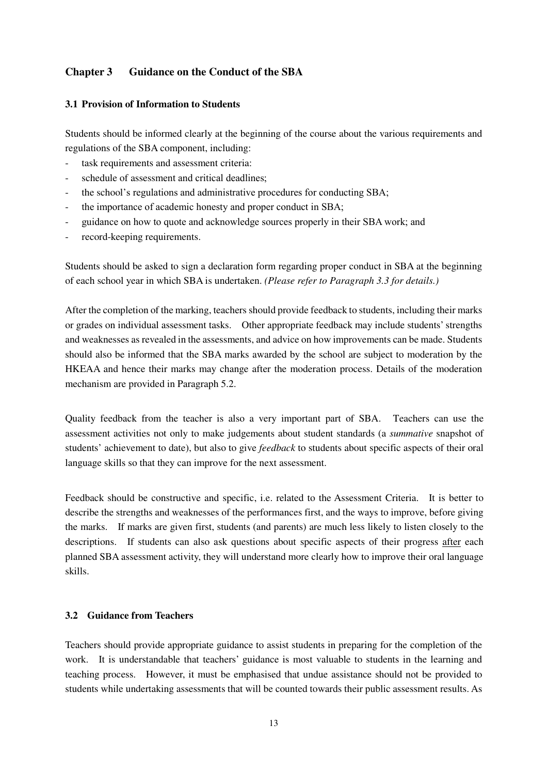# **Chapter 3 Guidance on the Conduct of the SBA**

## **3.1 Provision of Information to Students**

 Students should be informed clearly at the beginning of the course about the various requirements and regulations of the SBA component, including:

- task requirements and assessment criteria:
- schedule of assessment and critical deadlines;
- the school's regulations and administrative procedures for conducting SBA;
- the importance of academic honesty and proper conduct in SBA;
- guidance on how to quote and acknowledge sources properly in their SBA work; and
- record-keeping requirements.

 Students should be asked to sign a declaration form regarding proper conduct in SBA at the beginning of each school year in which SBA is undertaken. *(Please refer to Paragraph 3.3 for details.)* 

 After the completion of the marking, teachers should provide feedback to students, including their marks and weaknesses as revealed in the assessments, and advice on how improvements can be made. Students should also be informed that the SBA marks awarded by the school are subject to moderation by the HKEAA and hence their marks may change after the moderation process. Details of the moderation or grades on individual assessment tasks. Other appropriate feedback may include students' strengths mechanism are provided in Paragraph 5.2.

 Quality feedback from the teacher is also a very important part of SBA. Teachers can use the assessment activities not only to make judgements about student standards (a *summative* snapshot of students' achievement to date), but also to give *feedback* to students about specific aspects of their oral language skills so that they can improve for the next assessment.

 Feedback should be constructive and specific, i.e. related to the Assessment Criteria. It is better to describe the strengths and weaknesses of the performances first, and the ways to improve, before giving the marks. If marks are given first, students (and parents) are much less likely to listen closely to the descriptions. If students can also ask questions about specific aspects of their progress after each planned SBA assessment activity, they will understand more clearly how to improve their oral language skills.

### **3.2 Guidance from Teachers**

 Teachers should provide appropriate guidance to assist students in preparing for the completion of the work. It is understandable that teachers' guidance is most valuable to students in the learning and teaching process. However, it must be emphasised that undue assistance should not be provided to students while undertaking assessments that will be counted towards their public assessment results. As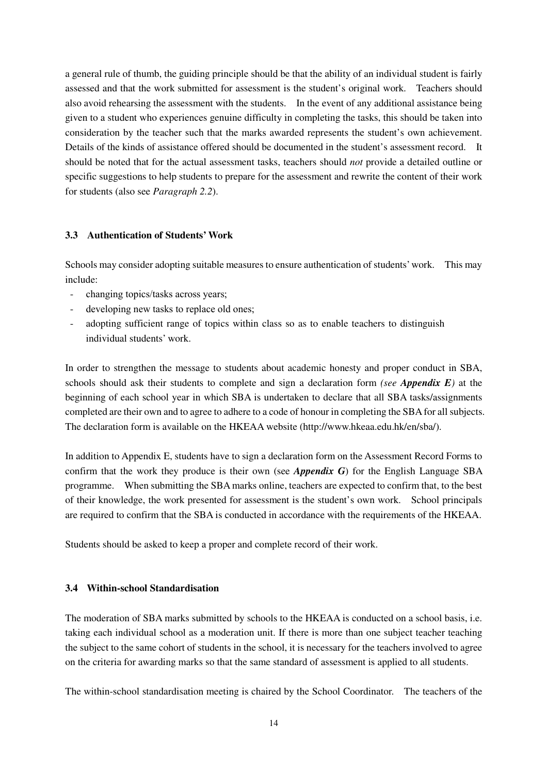a general rule of thumb, the guiding principle should be that the ability of an individual student is fairly assessed and that the work submitted for assessment is the student's original work. Teachers should also avoid rehearsing the assessment with the students. In the event of any additional assistance being consideration by the teacher such that the marks awarded represents the student's own achievement. Details of the kinds of assistance offered should be documented in the student's assessment record. It should be noted that for the actual assessment tasks, teachers should *not* provide a detailed outline or specific suggestions to help students to prepare for the assessment and rewrite the content of their work given to a student who experiences genuine difficulty in completing the tasks, this should be taken into for students (also see *Paragraph 2.2*).

### **3.3 Authentication of Students' Work**

 Schools may consider adopting suitable measures to ensure authentication of students' work. This may include:

- changing topics/tasks across years;
- developing new tasks to replace old ones:
- - adopting sufficient range of topics within class so as to enable teachers to distinguish individual students' work.

 In order to strengthen the message to students about academic honesty and proper conduct in SBA, schools should ask their students to complete and sign a declaration form *(see Appendix E)* at the beginning of each school year in which SBA is undertaken to declare that all SBA tasks/assignments completed are their own and to agree to adhere to a code of honour in completing the SBA for all subjects. The declaration form is available on the HKEAA website (http://www.hkeaa.edu.hk/en/sba/).

 In addition to Appendix E, students have to sign a declaration form on the Assessment Record Forms to confirm that the work they produce is their own (see *Appendix G*) for the English Language SBA programme. When submitting the SBA marks online, teachers are expected to confirm that, to the best of their knowledge, the work presented for assessment is the student's own work. School principals are required to confirm that the SBA is conducted in accordance with the requirements of the HKEAA.

Students should be asked to keep a proper and complete record of their work.

### **3.4 Within-school Standardisation**

 taking each individual school as a moderation unit. If there is more than one subject teacher teaching the subject to the same cohort of students in the school, it is necessary for the teachers involved to agree on the criteria for awarding marks so that the same standard of assessment is applied to all students. The moderation of SBA marks submitted by schools to the HKEAA is conducted on a school basis, i.e.

The within-school standardisation meeting is chaired by the School Coordinator. The teachers of the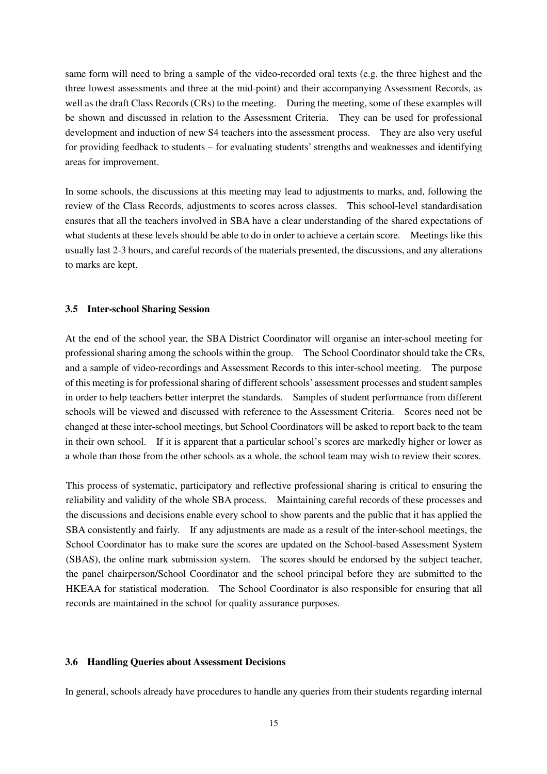same form will need to bring a sample of the video-recorded oral texts (e.g. the three highest and the three lowest assessments and three at the mid-point) and their accompanying Assessment Records, as well as the draft Class Records (CRs) to the meeting. During the meeting, some of these examples will be shown and discussed in relation to the Assessment Criteria. They can be used for professional for providing feedback to students – for evaluating students' strengths and weaknesses and identifying development and induction of new S4 teachers into the assessment process. They are also very useful areas for improvement.

 In some schools, the discussions at this meeting may lead to adjustments to marks, and, following the review of the Class Records, adjustments to scores across classes. This school-level standardisation ensures that all the teachers involved in SBA have a clear understanding of the shared expectations of what students at these levels should be able to do in order to achieve a certain score. Meetings like this usually last 2-3 hours, and careful records of the materials presented, the discussions, and any alterations to marks are kept.

### **3.5 Inter-school Sharing Session**

 At the end of the school year, the SBA District Coordinator will organise an inter-school meeting for professional sharing among the schools within the group. The School Coordinator should take the CRs, and a sample of video-recordings and Assessment Records to this inter-school meeting. The purpose of this meeting is for professional sharing of different schools' assessment processes and student samples in order to help teachers better interpret the standards. Samples of student performance from different schools will be viewed and discussed with reference to the Assessment Criteria. Scores need not be changed at these inter-school meetings, but School Coordinators will be asked to report back to the team in their own school. If it is apparent that a particular school's scores are markedly higher or lower as a whole than those from the other schools as a whole, the school team may wish to review their scores.

 This process of systematic, participatory and reflective professional sharing is critical to ensuring the reliability and validity of the whole SBA process. Maintaining careful records of these processes and SBA consistently and fairly. If any adjustments are made as a result of the inter-school meetings, the School Coordinator has to make sure the scores are updated on the School-based Assessment System (SBAS), the online mark submission system. The scores should be endorsed by the subject teacher, the panel chairperson/School Coordinator and the school principal before they are submitted to the HKEAA for statistical moderation. The School Coordinator is also responsible for ensuring that all the discussions and decisions enable every school to show parents and the public that it has applied the records are maintained in the school for quality assurance purposes.

### **3.6 Handling Queries about Assessment Decisions**

In general, schools already have procedures to handle any queries from their students regarding internal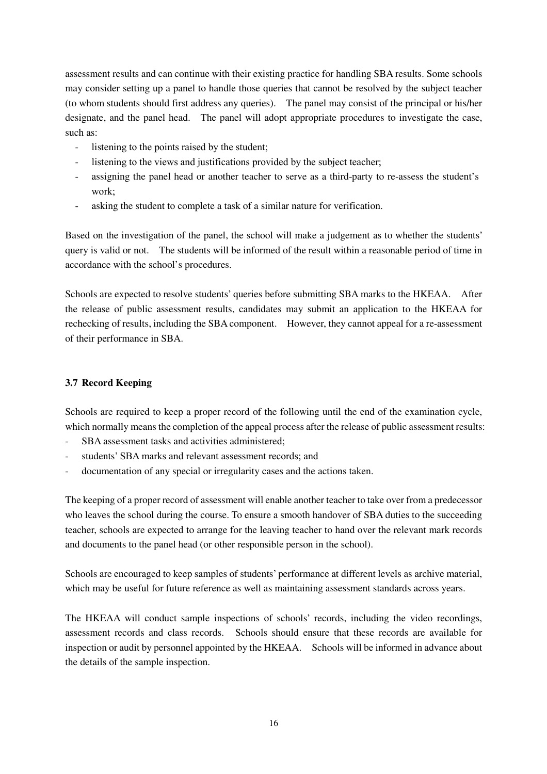assessment results and can continue with their existing practice for handling SBA results. Some schools may consider setting up a panel to handle those queries that cannot be resolved by the subject teacher (to whom students should first address any queries). The panel may consist of the principal or his/her designate, and the panel head. The panel will adopt appropriate procedures to investigate the case, such as:

- listening to the points raised by the student;
- listening to the views and justifications provided by the subject teacher;
- - assigning the panel head or another teacher to serve as a third-party to re-assess the student's work;
- asking the student to complete a task of a similar nature for verification.

 Based on the investigation of the panel, the school will make a judgement as to whether the students' query is valid or not. The students will be informed of the result within a reasonable period of time in accordance with the school's procedures.

Schools are expected to resolve students' queries before submitting SBA marks to the HKEAA. After the release of public assessment results, candidates may submit an application to the HKEAA for rechecking of results, including the SBA component. However, they cannot appeal for a re-assessment of their performance in SBA.

## **3.7 Record Keeping**

 Schools are required to keep a proper record of the following until the end of the examination cycle, which normally means the completion of the appeal process after the release of public assessment results:

- SBA assessment tasks and activities administered;
- students' SBA marks and relevant assessment records; and
- documentation of any special or irregularity cases and the actions taken.

 The keeping of a proper record of assessment will enable another teacher to take over from a predecessor teacher, schools are expected to arrange for the leaving teacher to hand over the relevant mark records who leaves the school during the course. To ensure a smooth handover of SBA duties to the succeeding and documents to the panel head (or other responsible person in the school).

 Schools are encouraged to keep samples of students' performance at different levels as archive material, which may be useful for future reference as well as maintaining assessment standards across years.

 The HKEAA will conduct sample inspections of schools' records, including the video recordings, assessment records and class records. Schools should ensure that these records are available for inspection or audit by personnel appointed by the HKEAA. Schools will be informed in advance about the details of the sample inspection.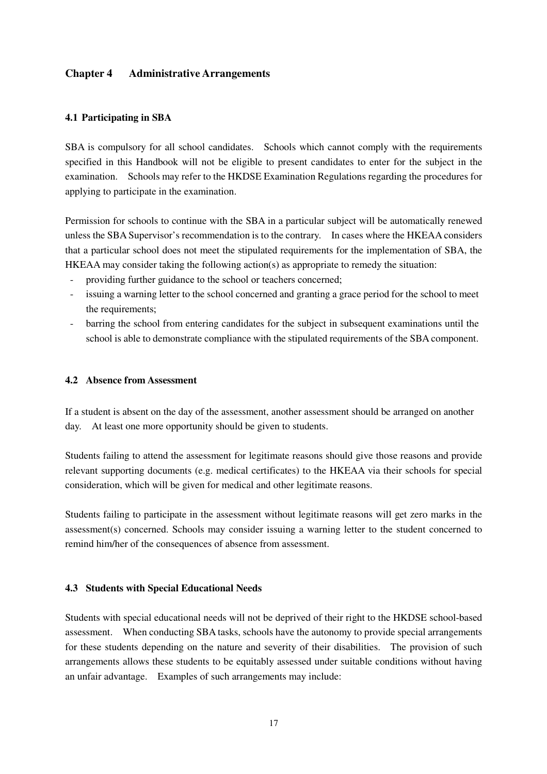## **Chapter 4 Administrative Arrangements**

### **4.1 Participating in SBA**

 SBA is compulsory for all school candidates. Schools which cannot comply with the requirements specified in this Handbook will not be eligible to present candidates to enter for the subject in the examination. Schools may refer to the HKDSE Examination Regulations regarding the procedures for applying to participate in the examination.

 Permission for schools to continue with the SBA in a particular subject will be automatically renewed unless the SBA Supervisor's recommendation is to the contrary. In cases where the HKEAA considers that a particular school does not meet the stipulated requirements for the implementation of SBA, the HKEAA may consider taking the following action(s) as appropriate to remedy the situation:

- providing further guidance to the school or teachers concerned;
- - issuing a warning letter to the school concerned and granting a grace period for the school to meet the requirements;
- - barring the school from entering candidates for the subject in subsequent examinations until the school is able to demonstrate compliance with the stipulated requirements of the SBA component.

### **4.2 Absence from Assessment**

 day. At least one more opportunity should be given to students. If a student is absent on the day of the assessment, another assessment should be arranged on another

 Students failing to attend the assessment for legitimate reasons should give those reasons and provide relevant supporting documents (e.g. medical certificates) to the HKEAA via their schools for special consideration, which will be given for medical and other legitimate reasons.

 Students failing to participate in the assessment without legitimate reasons will get zero marks in the assessment(s) concerned. Schools may consider issuing a warning letter to the student concerned to remind him/her of the consequences of absence from assessment.

### **4.3 Students with Special Educational Needs**

 Students with special educational needs will not be deprived of their right to the HKDSE school-based assessment. When conducting SBA tasks, schools have the autonomy to provide special arrangements for these students depending on the nature and severity of their disabilities. The provision of such arrangements allows these students to be equitably assessed under suitable conditions without having an unfair advantage. Examples of such arrangements may include: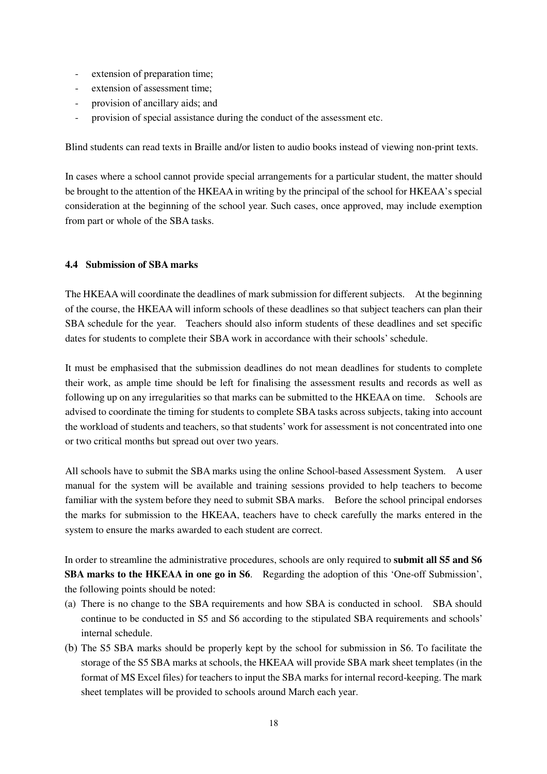- extension of preparation time;
- extension of assessment time;
- provision of ancillary aids; and
- provision of special assistance during the conduct of the assessment etc.

Blind students can read texts in Braille and/or listen to audio books instead of viewing non-print texts.

 In cases where a school cannot provide special arrangements for a particular student, the matter should be brought to the attention of the HKEAA in writing by the principal of the school for HKEAA's special consideration at the beginning of the school year. Such cases, once approved, may include exemption from part or whole of the SBA tasks.

## **4.4 Submission of SBA marks**

 The HKEAA will coordinate the deadlines of mark submission for different subjects. At the beginning SBA schedule for the year. Teachers should also inform students of these deadlines and set specific dates for students to complete their SBA work in accordance with their schools' schedule. of the course, the HKEAA will inform schools of these deadlines so that subject teachers can plan their

 It must be emphasised that the submission deadlines do not mean deadlines for students to complete their work, as ample time should be left for finalising the assessment results and records as well as following up on any irregularities so that marks can be submitted to the HKEAA on time. Schools are advised to coordinate the timing for students to complete SBA tasks across subjects, taking into account the workload of students and teachers, so that students' work for assessment is not concentrated into one or two critical months but spread out over two years.

 All schools have to submit the SBA marks using the online School-based Assessment System. A user manual for the system will be available and training sessions provided to help teachers to become the marks for submission to the HKEAA, teachers have to check carefully the marks entered in the familiar with the system before they need to submit SBA marks. Before the school principal endorses system to ensure the marks awarded to each student are correct.

 In order to streamline the administrative procedures, schools are only required to **submit all S5 and S6**  SBA marks to the HKEAA in one go in S6. Regarding the adoption of this 'One-off Submission', the following points should be noted:

- (a) There is no change to the SBA requirements and how SBA is conducted in school. SBA should continue to be conducted in S5 and S6 according to the stipulated SBA requirements and schools' internal schedule.
- (b) The S5 SBA marks should be properly kept by the school for submission in S6. To facilitate the storage of the S5 SBA marks at schools, the HKEAA will provide SBA mark sheet templates (in the format of MS Excel files) for teachers to input the SBA marks for internal record-keeping. The mark sheet templates will be provided to schools around March each year.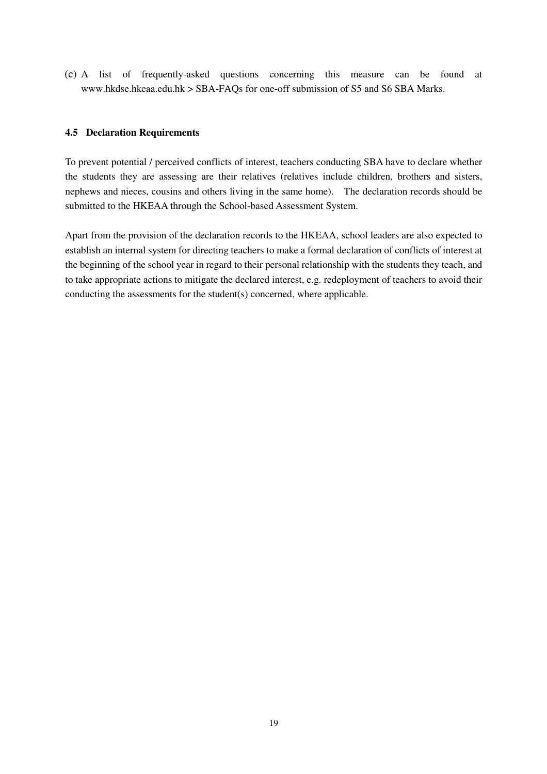(c) A list of frequently-asked questions concerning this measure can be found at www.hkdse.hkeaa.edu.hk > SBA-FAQs for one-off submission of S5 and S6 SBA Marks.

### **4.5 Declaration Requirements**

 To prevent potential / perceived conflicts of interest, teachers conducting SBA have to declare whether the students they are assessing are their relatives (relatives include children, brothers and sisters, nephews and nieces, cousins and others living in the same home). The declaration records should be submitted to the HKEAA through the School-based Assessment System.

 Apart from the provision of the declaration records to the HKEAA, school leaders are also expected to establish an internal system for directing teachers to make a formal declaration of conflicts of interest at the beginning of the school year in regard to their personal relationship with the students they teach, and to take appropriate actions to mitigate the declared interest, e.g. redeployment of teachers to avoid their conducting the assessments for the student(s) concerned, where applicable.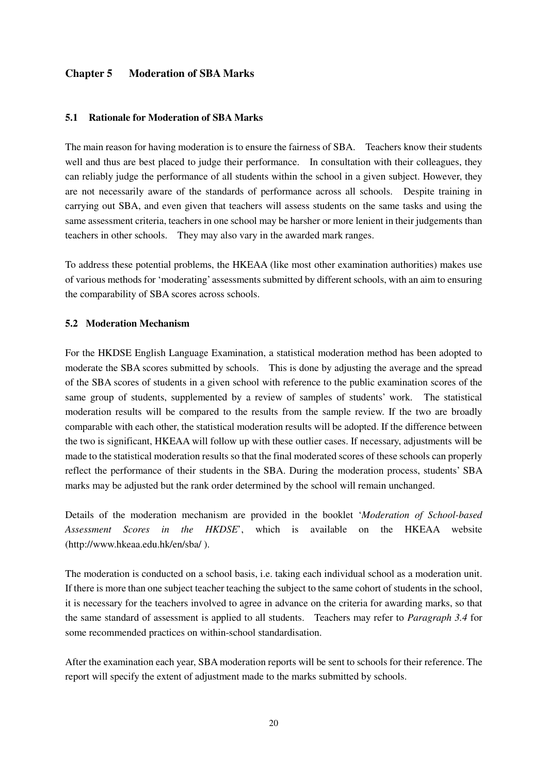## **Chapter 5 Moderation of SBA Marks**

### **5.1 Rationale for Moderation of SBA Marks**

 The main reason for having moderation is to ensure the fairness of SBA. Teachers know their students well and thus are best placed to judge their performance. In consultation with their colleagues, they can reliably judge the performance of all students within the school in a given subject. However, they are not necessarily aware of the standards of performance across all schools. Despite training in carrying out SBA, and even given that teachers will assess students on the same tasks and using the same assessment criteria, teachers in one school may be harsher or more lenient in their judgements than teachers in other schools. They may also vary in the awarded mark ranges.

 To address these potential problems, the HKEAA (like most other examination authorities) makes use of various methods for 'moderating' assessments submitted by different schools, with an aim to ensuring the comparability of SBA scores across schools.

### **5.2 Moderation Mechanism**

 For the HKDSE English Language Examination, a statistical moderation method has been adopted to moderate the SBA scores submitted by schools. This is done by adjusting the average and the spread of the SBA scores of students in a given school with reference to the public examination scores of the same group of students, supplemented by a review of samples of students' work. The statistical moderation results will be compared to the results from the sample review. If the two are broadly comparable with each other, the statistical moderation results will be adopted. If the difference between the two is significant, HKEAA will follow up with these outlier cases. If necessary, adjustments will be made to the statistical moderation results so that the final moderated scores of these schools can properly reflect the performance of their students in the SBA. During the moderation process, students' SBA marks may be adjusted but the rank order determined by the school will remain unchanged.

 Details of the moderation mechanism are provided in the booklet '*Moderation of School-based Assessment Scores in the HKDSE*', which is available on the HKEAA website (http://www.hkeaa.edu.hk/en/sba/ ).

 The moderation is conducted on a school basis, i.e. taking each individual school as a moderation unit. If there is more than one subject teacher teaching the subject to the same cohort of students in the school, it is necessary for the teachers involved to agree in advance on the criteria for awarding marks, so that the same standard of assessment is applied to all students. Teachers may refer to *Paragraph 3.4* for some recommended practices on within-school standardisation.

 After the examination each year, SBA moderation reports will be sent to schools for their reference. The report will specify the extent of adjustment made to the marks submitted by schools.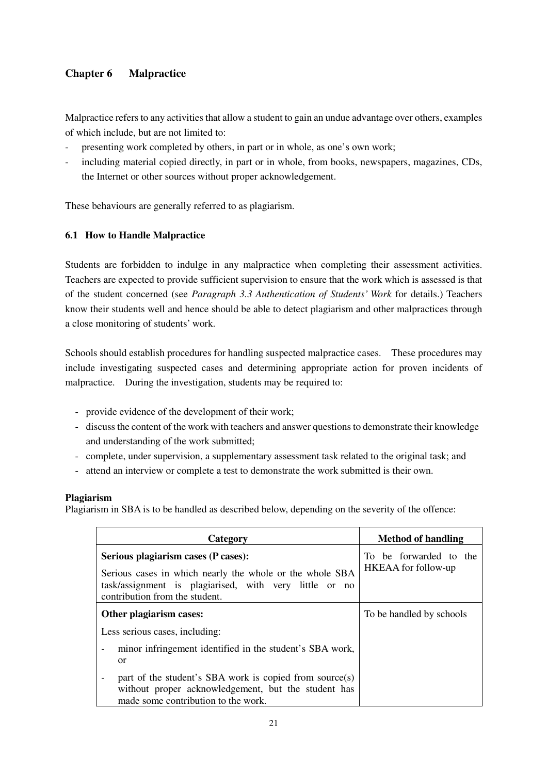# **Chapter 6 Malpractice**

 Malpractice refers to any activities that allow a student to gain an undue advantage over others, examples of which include, but are not limited to:

- presenting work completed by others, in part or in whole, as one's own work;
- - including material copied directly, in part or in whole, from books, newspapers, magazines, CDs, the Internet or other sources without proper acknowledgement.

These behaviours are generally referred to as plagiarism.

# **6.1 How to Handle Malpractice**

 Students are forbidden to indulge in any malpractice when completing their assessment activities. Teachers are expected to provide sufficient supervision to ensure that the work which is assessed is that of the student concerned (see *Paragraph 3.3 Authentication of Students' Work* for details.) Teachers know their students well and hence should be able to detect plagiarism and other malpractices through a close monitoring of students' work.

 Schools should establish procedures for handling suspected malpractice cases. These procedures may include investigating suspected cases and determining appropriate action for proven incidents of malpractice. During the investigation, students may be required to:

- provide evidence of the development of their work;
- - discuss the content of the work with teachers and answer questions to demonstrate their knowledge and understanding of the work submitted;
- complete, under supervision, a supplementary assessment task related to the original task; and
- attend an interview or complete a test to demonstrate the work submitted is their own.

## **Plagiarism**

Plagiarism in SBA is to be handled as described below, depending on the severity of the offence:

| Category                                                                                                                                                                                    | <b>Method of handling</b>                     |  |  |
|---------------------------------------------------------------------------------------------------------------------------------------------------------------------------------------------|-----------------------------------------------|--|--|
| Serious plagiarism cases (P cases):<br>Serious cases in which nearly the whole or the whole SBA<br>task/assignment is plagiarised, with very little or no<br>contribution from the student. | To be forwarded to the<br>HKEAA for follow-up |  |  |
| Other plagiarism cases:                                                                                                                                                                     | To be handled by schools                      |  |  |
| Less serious cases, including:                                                                                                                                                              |                                               |  |  |
| minor infringement identified in the student's SBA work,<br><sub>or</sub>                                                                                                                   |                                               |  |  |
| part of the student's SBA work is copied from source(s)<br>without proper acknowledgement, but the student has<br>made some contribution to the work.                                       |                                               |  |  |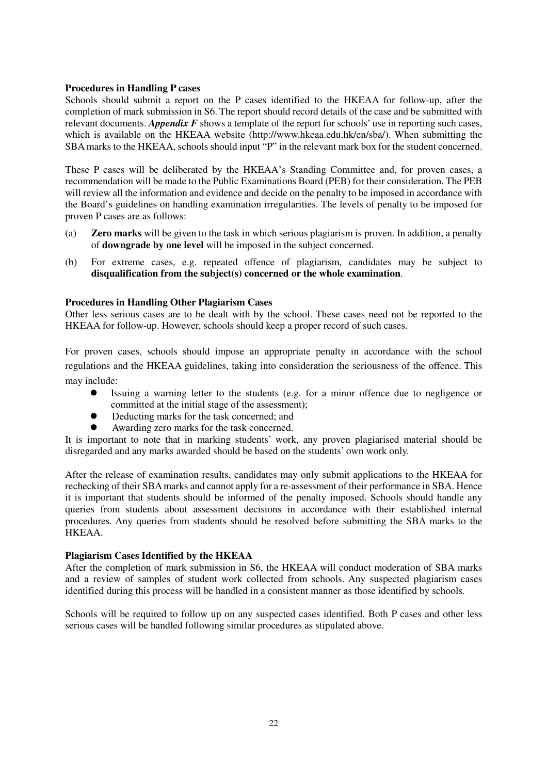## **Procedures in Handling P cases**

 Schools should submit a report on the P cases identified to the HKEAA for follow-up, after the completion of mark submission in S6. The report should record details of the case and be submitted with relevant documents. *Appendix F* shows a template of the report for schools' use in reporting such cases, which is available on the HKEAA website (http://www.hkeaa.edu.hk/en/sba/). When submitting the SBA marks to the HKEAA, schools should input "P" in the relevant mark box for the student concerned.

 These P cases will be deliberated by the HKEAA's Standing Committee and, for proven cases, a recommendation will be made to the Public Examinations Board (PEB) for their consideration. The PEB will review all the information and evidence and decide on the penalty to be imposed in accordance with the Board's guidelines on handling examination irregularities. The levels of penalty to be imposed for proven P cases are as follows:

- (a) **Zero marks** will be given to the task in which serious plagiarism is proven. In addition, a penalty of **downgrade by one level** will be imposed in the subject concerned.
- (b) For extreme cases, e.g. repeated offence of plagiarism, candidates may be subject to  **disqualification from the subject(s) concerned or the whole examination**.

## **Procedures in Handling Other Plagiarism Cases**

 Other less serious cases are to be dealt with by the school. These cases need not be reported to the HKEAA for follow-up. However, schools should keep a proper record of such cases.

 For proven cases, schools should impose an appropriate penalty in accordance with the school regulations and the HKEAA guidelines, taking into consideration the seriousness of the offence. This may include:

- Issuing a warning letter to the students (e.g. for a minor offence due to negligence or committed at the initial stage of the assessment);
- Deducting marks for the task concerned; and
- Awarding zero marks for the task concerned.

 It is important to note that in marking students' work, any proven plagiarised material should be disregarded and any marks awarded should be based on the students' own work only.

 After the release of examination results, candidates may only submit applications to the HKEAA for rechecking of their SBA marks and cannot apply for a re-assessment of their performance in SBA. Hence it is important that students should be informed of the penalty imposed. Schools should handle any queries from students about assessment decisions in accordance with their established internal procedures. Any queries from students should be resolved before submitting the SBA marks to the HKEAA.

### **Plagiarism Cases Identified by the HKEAA**

 After the completion of mark submission in S6, the HKEAA will conduct moderation of SBA marks and a review of samples of student work collected from schools. Any suspected plagiarism cases identified during this process will be handled in a consistent manner as those identified by schools.

 Schools will be required to follow up on any suspected cases identified. Both P cases and other less serious cases will be handled following similar procedures as stipulated above.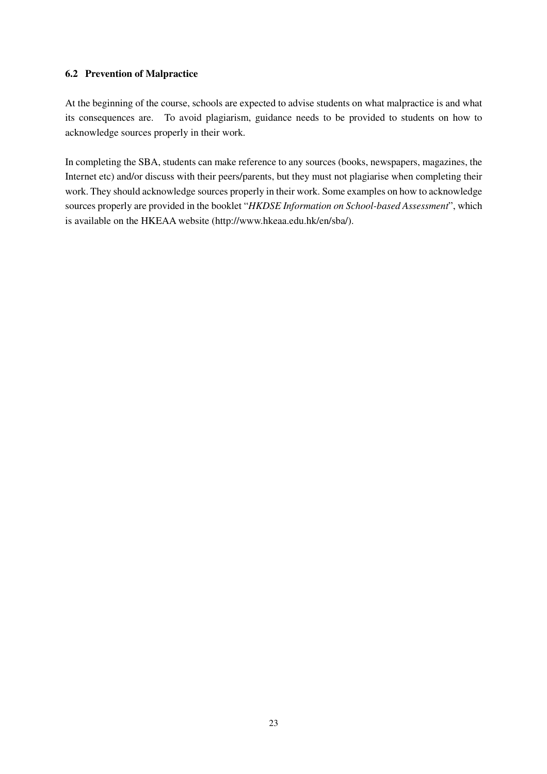## **6.2 Prevention of Malpractice**

 At the beginning of the course, schools are expected to advise students on what malpractice is and what its consequences are. To avoid plagiarism, guidance needs to be provided to students on how to acknowledge sources properly in their work.

 In completing the SBA, students can make reference to any sources (books, newspapers, magazines, the Internet etc) and/or discuss with their peers/parents, but they must not plagiarise when completing their work. They should acknowledge sources properly in their work. Some examples on how to acknowledge sources properly are provided in the booklet "*HKDSE Information on School-based Assessment*", which is available on the HKEAA website (http://www.hkeaa.edu.hk/en/sba/).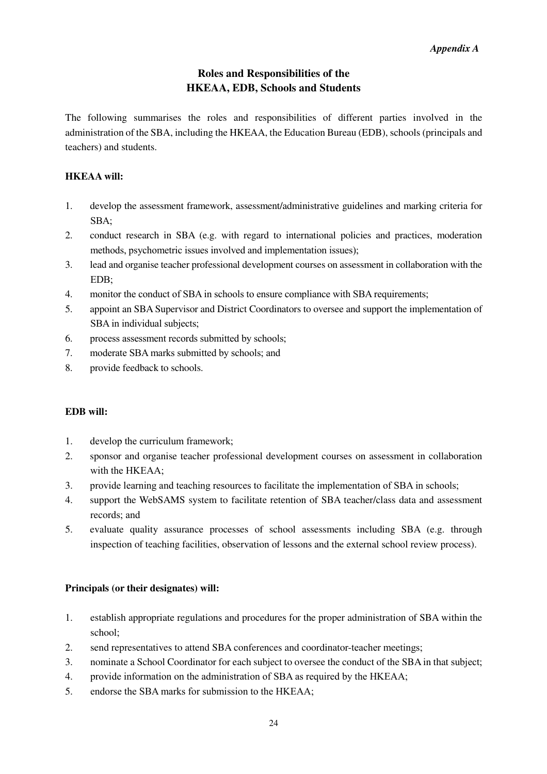# **Roles and Responsibilities of the HKEAA, EDB, Schools and Students**

 The following summarises the roles and responsibilities of different parties involved in the administration of the SBA, including the HKEAA, the Education Bureau (EDB), schools (principals and teachers) and students.

## **HKEAA will:**

- 1. develop the assessment framework, assessment/administrative guidelines and marking criteria for SBA;
- 2. conduct research in SBA (e.g. with regard to international policies and practices, moderation methods, psychometric issues involved and implementation issues);
- 3. lead and organise teacher professional development courses on assessment in collaboration with the EDB;
- 4. monitor the conduct of SBA in schools to ensure compliance with SBA requirements;
- 5. appoint an SBA Supervisor and District Coordinators to oversee and support the implementation of SBA in individual subjects;
- 6. process assessment records submitted by schools;
- 7. moderate SBA marks submitted by schools; and
- 8. provide feedback to schools.

# **EDB will:**

- 1. develop the curriculum framework;
- 2. sponsor and organise teacher professional development courses on assessment in collaboration with the HKEAA;
- 3. provide learning and teaching resources to facilitate the implementation of SBA in schools;
- 4. support the WebSAMS system to facilitate retention of SBA teacher/class data and assessment records; and
- 5. evaluate quality assurance processes of school assessments including SBA (e.g. through inspection of teaching facilities, observation of lessons and the external school review process).

## **Principals (or their designates) will:**

- 1. establish appropriate regulations and procedures for the proper administration of SBA within the school;
- 2. send representatives to attend SBA conferences and coordinator-teacher meetings;
- 3. nominate a School Coordinator for each subject to oversee the conduct of the SBA in that subject;
- 4. provide information on the administration of SBA as required by the HKEAA;
- 5. endorse the SBA marks for submission to the HKEAA;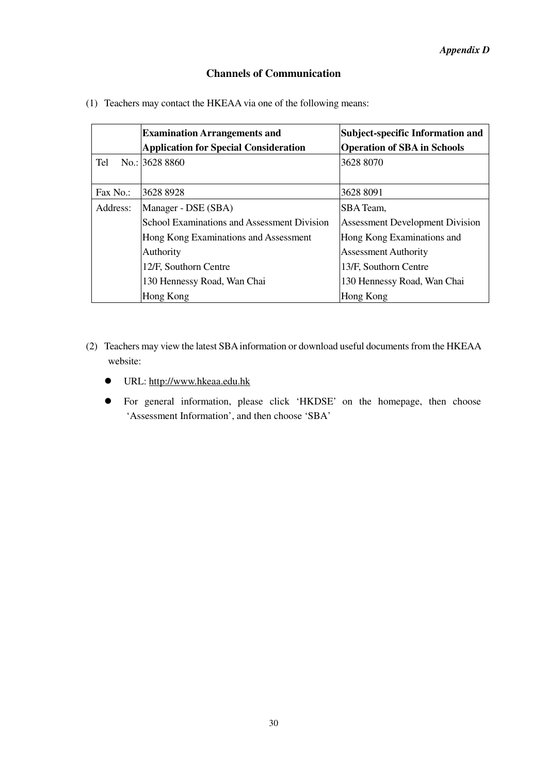# **Channels of Communication**

(1) Teachers may contact the HKEAA via one of the following means:

|                                             | <b>Examination Arrangements and</b><br><b>Application for Special Consideration</b> | Subject-specific Information and<br><b>Operation of SBA in Schools</b> |  |  |
|---------------------------------------------|-------------------------------------------------------------------------------------|------------------------------------------------------------------------|--|--|
| Tel                                         | No.: 3628 8860                                                                      | 3628 8070                                                              |  |  |
| Fax No.:                                    | 3628 8928                                                                           | 3628 8091                                                              |  |  |
| Address:                                    | Manager - DSE (SBA)                                                                 | SBA Team,                                                              |  |  |
| School Examinations and Assessment Division |                                                                                     | <b>Assessment Development Division</b>                                 |  |  |
| Hong Kong Examinations and Assessment       |                                                                                     | Hong Kong Examinations and                                             |  |  |
| Authority                                   |                                                                                     | <b>Assessment Authority</b>                                            |  |  |
|                                             | 12/F, Southorn Centre                                                               | 13/F, Southorn Centre                                                  |  |  |
|                                             | 130 Hennessy Road, Wan Chai                                                         | 130 Hennessy Road, Wan Chai                                            |  |  |
|                                             | Hong Kong                                                                           | Hong Kong                                                              |  |  |

- (2) Teachers may view the latest SBA information or download useful documents from the HKEAA website:
	- URL: http://www.hkeaa.edu.hk
	- For general information, please click 'HKDSE' on the homepage, then choose 'Assessment Information', and then choose 'SBA'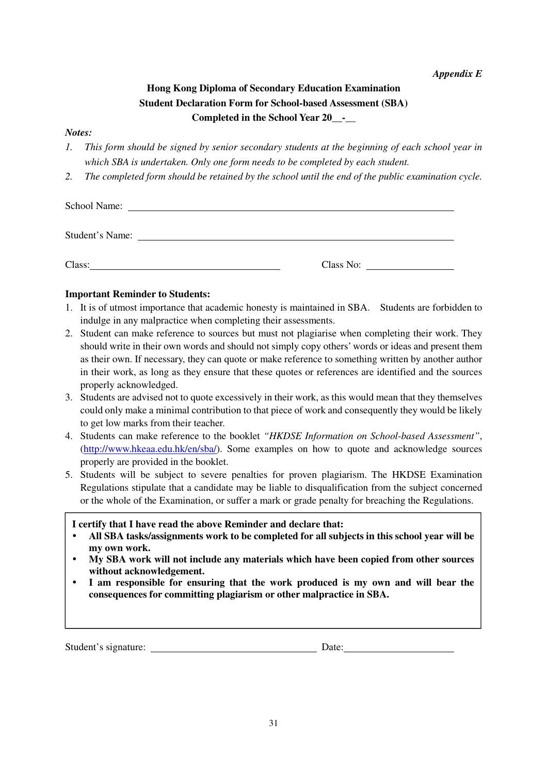*Appendix E* 

# **Student Declaration Form for School-based Assessment (SBA) Completed in the School Year 20\_\_-\_\_ Hong Kong Diploma of Secondary Education Examination**

### *Notes:*

- 1. This form should be signed by senior secondary students at the beginning of each school year in *which SBA is undertaken. Only one form needs to be completed by each student.*
- *2. The completed form should be retained by the school until the end of the public examination cycle.*

School Name: Student's Name: Class: Class No: Class No: Class No: Class No: Class No: Class No: Class No: Class No: Class No: Class No: Class No: Class No: Class No: Class No: Class No: Class No: Class No: Class No: Class No: Class No: Class No: Class

## **Important Reminder to Students:**

- 1. It is of utmost importance that academic honesty is maintained in SBA. Students are forbidden to indulge in any malpractice when completing their assessments.
- 2. Student can make reference to sources but must not plagiarise when completing their work. They should write in their own words and should not simply copy others' words or ideas and present them in their work, as long as they ensure that these quotes or references are identified and the sources as their own. If necessary, they can quote or make reference to something written by another author properly acknowledged.
- 3. Students are advised not to quote excessively in their work, as this would mean that they themselves could only make a minimal contribution to that piece of work and consequently they would be likely to get low marks from their teacher.
- 4. Students can make reference to the booklet *"HKDSE Information on School-based Assessment"*, (http://www.hkeaa.edu.hk/en/sba/). Some examples on how to quote and acknowledge sources properly are provided in the booklet.
- 5. Students will be subject to severe penalties for proven plagiarism. The HKDSE Examination Regulations stipulate that a candidate may be liable to disqualification from the subject concerned or the whole of the Examination, or suffer a mark or grade penalty for breaching the Regulations.

## **I certify that I have read the above Reminder and declare that:**

- **All SBA tasks/assignments work to be completed for all subjects in this school year will be my own work.**
- **My SBA work will not include any materials which have been copied from other sources without acknowledgement.**
- **I am responsible for ensuring that the work produced is my own and will bear the consequences for committing plagiarism or other malpractice in SBA.**

Student's signature: Date: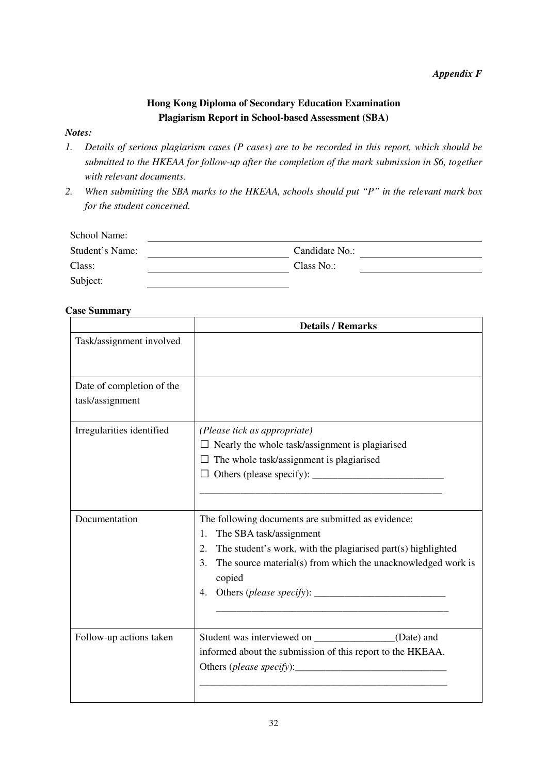# **Plagiarism Report in School-based Assessment (SBA) Hong Kong Diploma of Secondary Education Examination**

## *Notes:*

- *1. Details of serious plagiarism cases (P cases) are to be recorded in this report, which should be submitted to the HKEAA for follow-up after the completion of the mark submission in S6, together with relevant documents.*
- 2. When submitting the SBA marks to the HKEAA, schools should put "P" in the relevant mark box  *for the student concerned.*

| School Name:    |                |  |
|-----------------|----------------|--|
| Student's Name: | Candidate No.: |  |
| Class:          | Class No.:     |  |
| Subject:        |                |  |

# **Case Summary**

|                                              | <b>Details / Remarks</b>                                                                                                                                                                                                                     |
|----------------------------------------------|----------------------------------------------------------------------------------------------------------------------------------------------------------------------------------------------------------------------------------------------|
| Task/assignment involved                     |                                                                                                                                                                                                                                              |
| Date of completion of the<br>task/assignment |                                                                                                                                                                                                                                              |
| Irregularities identified                    | (Please tick as appropriate)<br>$\Box$ Nearly the whole task/assignment is plagiarised<br>The whole task/assignment is plagiarised                                                                                                           |
| Documentation                                | The following documents are submitted as evidence:<br>The SBA task/assignment<br>1.<br>2. The student's work, with the plagiarised part(s) highlighted<br>The source material(s) from which the unacknowledged work is<br>3.<br>copied<br>4. |
| Follow-up actions taken                      | Student was interviewed on _______________(Date) and<br>informed about the submission of this report to the HKEAA.                                                                                                                           |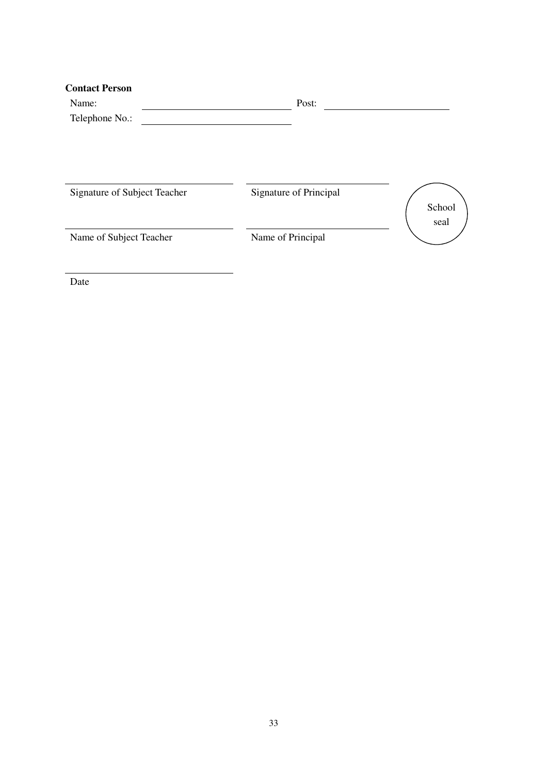| Post:                  |
|------------------------|
|                        |
|                        |
|                        |
|                        |
|                        |
| Signature of Principal |
| School                 |
| seal                   |
| Name of Principal      |
|                        |

Date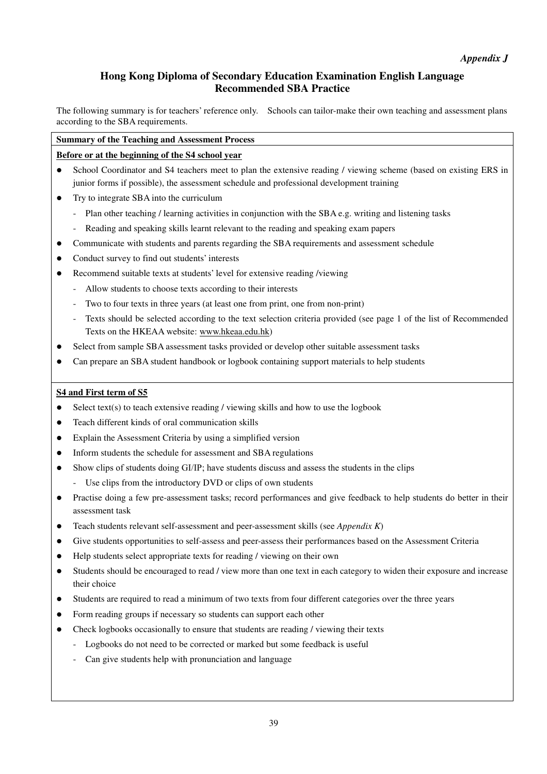# **Hong Kong Diploma of Secondary Education Examination English Language Recommended SBA Practice**

 The following summary is for teachers' reference only. Schools can tailor-make their own teaching and assessment plans according to the SBA requirements.

### **Summary of the Teaching and Assessment Process**

### **Before or at the beginning of the S4 school year**

- School Coordinator and S4 teachers meet to plan the extensive reading / viewing scheme (based on existing ERS in junior forms if possible), the assessment schedule and professional development training
- Try to integrate SBA into the curriculum
	- Plan other teaching / learning activities in conjunction with the SBA e.g. writing and listening tasks
	- Reading and speaking skills learnt relevant to the reading and speaking exam papers
- Communicate with students and parents regarding the SBA requirements and assessment schedule
- Conduct survey to find out students' interests
- Recommend suitable texts at students' level for extensive reading /viewing
	- Allow students to choose texts according to their interests
	- Two to four texts in three years (at least one from print, one from non-print)
	- - Texts should be selected according to the text selection criteria provided (see page 1 of the list of Recommended Texts on the HKEAA website: www.hkeaa.edu.hk)
- Select from sample SBA assessment tasks provided or develop other suitable assessment tasks
- Can prepare an SBA student handbook or logbook containing support materials to help students

### **S4 and First term of S5**

- $\bullet$  Select text(s) to teach extensive reading / viewing skills and how to use the logbook
- Teach different kinds of oral communication skills
- Explain the Assessment Criteria by using a simplified version
- Inform students the schedule for assessment and SBA regulations
- Show clips of students doing GI/IP; have students discuss and assess the students in the clips
	- Use clips from the introductory DVD or clips of own students
- Practise doing a few pre-assessment tasks; record performances and give feedback to help students do better in their assessment task
- Teach students relevant self-assessment and peer-assessment skills (see *Appendix K*)
- Give students opportunities to self-assess and peer-assess their performances based on the Assessment Criteria
- Help students select appropriate texts for reading / viewing on their own
- Students should be encouraged to read / view more than one text in each category to widen their exposure and increase their choice
- Students are required to read a minimum of two texts from four different categories over the three years
- Form reading groups if necessary so students can support each other
- Check logbooks occasionally to ensure that students are reading / viewing their texts
	- Logbooks do not need to be corrected or marked but some feedback is useful
	- Can give students help with pronunciation and language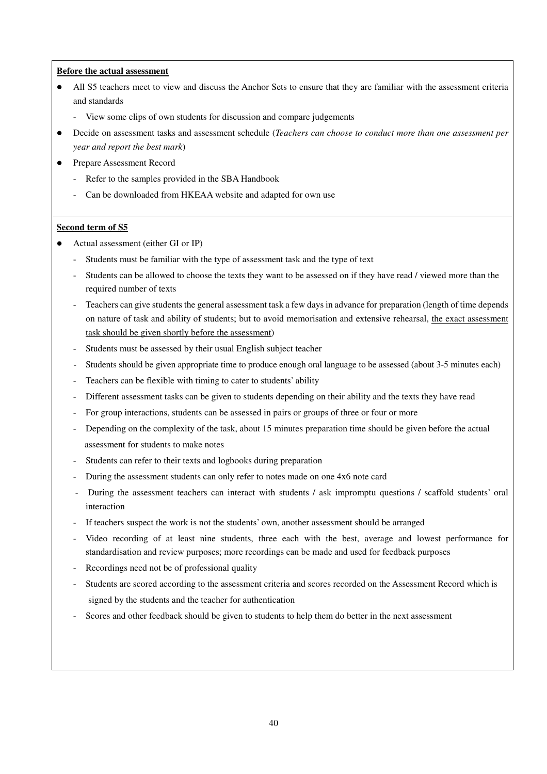### **Before the actual assessment**

- All S5 teachers meet to view and discuss the Anchor Sets to ensure that they are familiar with the assessment criteria and standards
	- View some clips of own students for discussion and compare judgements
- Decide on assessment tasks and assessment schedule (*Teachers can choose to conduct more than one assessment per year and report the best mark*)
- **•** Prepare Assessment Record
	- Refer to the samples provided in the SBA Handbook
	- Can be downloaded from HKEAA website and adapted for own use

### **Second term of S5**

- Actual assessment (either GI or IP)
	- Students must be familiar with the type of assessment task and the type of text
	- - Students can be allowed to choose the texts they want to be assessed on if they have read / viewed more than the required number of texts
	- - Teachers can give students the general assessment task a few days in advance for preparation (length of time depends on nature of task and ability of students; but to avoid memorisation and extensive rehearsal, the exact assessment task should be given shortly before the assessment)
	- Students must be assessed by their usual English subject teacher
	- Students should be given appropriate time to produce enough oral language to be assessed (about 3-5 minutes each)
	- Teachers can be flexible with timing to cater to students' ability
	- Different assessment tasks can be given to students depending on their ability and the texts they have read
	- For group interactions, students can be assessed in pairs or groups of three or four or more
	- - Depending on the complexity of the task, about 15 minutes preparation time should be given before the actual assessment for students to make notes
	- Students can refer to their texts and logbooks during preparation
	- During the assessment students can only refer to notes made on one 4x6 note card
	- - During the assessment teachers can interact with students / ask impromptu questions / scaffold students' oral interaction
	- If teachers suspect the work is not the students' own, another assessment should be arranged
	- - Video recording of at least nine students, three each with the best, average and lowest performance for standardisation and review purposes; more recordings can be made and used for feedback purposes
	- Recordings need not be of professional quality
	- - Students are scored according to the assessment criteria and scores recorded on the Assessment Record which is signed by the students and the teacher for authentication
	- Scores and other feedback should be given to students to help them do better in the next assessment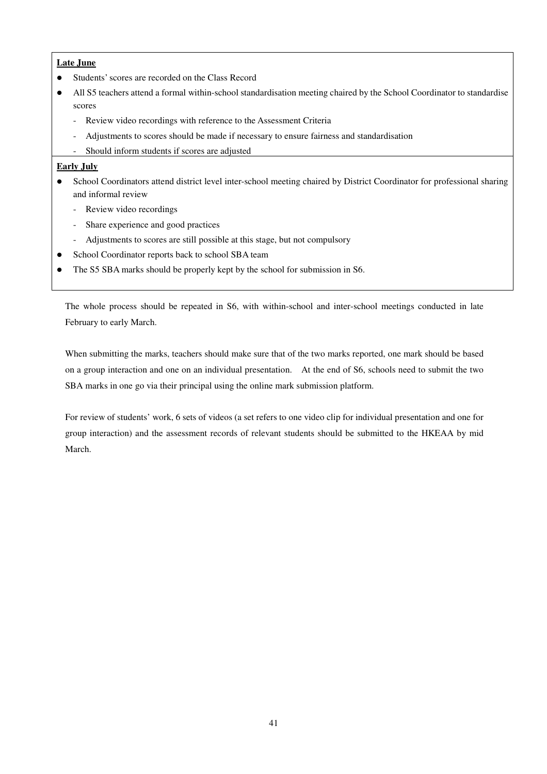### **Late June**

- Students' scores are recorded on the Class Record
- All S5 teachers attend a formal within-school standardisation meeting chaired by the School Coordinator to standardise scores
	- Review video recordings with reference to the Assessment Criteria
	- Adjustments to scores should be made if necessary to ensure fairness and standardisation
	- Should inform students if scores are adjusted

### **Early July**

- School Coordinators attend district level inter-school meeting chaired by District Coordinator for professional sharing and informal review
	- Review video recordings
	- Share experience and good practices
	- Adjustments to scores are still possible at this stage, but not compulsory
- School Coordinator reports back to school SBA team
- The S5 SBA marks should be properly kept by the school for submission in S6.

 The whole process should be repeated in S6, with within-school and inter-school meetings conducted in late February to early March.

 When submitting the marks, teachers should make sure that of the two marks reported, one mark should be based on a group interaction and one on an individual presentation. At the end of S6, schools need to submit the two SBA marks in one go via their principal using the online mark submission platform.

 For review of students' work, 6 sets of videos (a set refers to one video clip for individual presentation and one for group interaction) and the assessment records of relevant students should be submitted to the HKEAA by mid March.